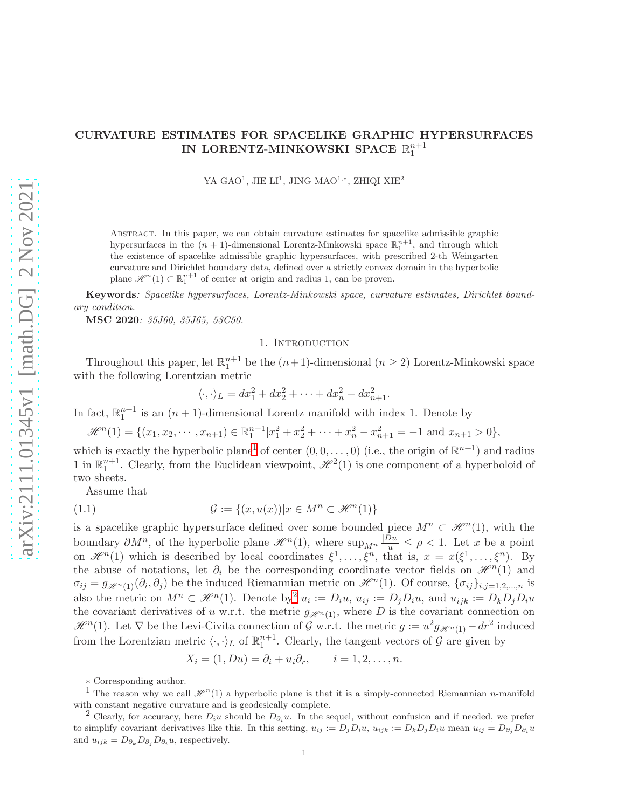# CURVATURE ESTIMATES FOR SPACELIKE GRAPHIC HYPERSURFACES IN LORENTZ-MINKOWSKI SPACE  $\mathbb{R}^{n+1}_1$

YA GAO<sup>1</sup>, JIE LI<sup>1</sup>, JING MAO<sup>1,\*</sup>, ZHIQI XIE<sup>2</sup>

Abstract. In this paper, we can obtain curvature estimates for spacelike admissible graphic hypersurfaces in the  $(n + 1)$ -dimensional Lorentz-Minkowski space  $\mathbb{R}^{n+1}_1$ , and through which the existence of spacelike admissible graphic hypersurfaces, with prescribed 2-th Weingarten curvature and Dirichlet boundary data, defined over a strictly convex domain in the hyperbolic plane  $\mathscr{H}^n(1) \subset \mathbb{R}^{n+1}$  of center at origin and radius 1, can be proven.

Keywords: Spacelike hypersurfaces, Lorentz-Minkowski space, curvature estimates, Dirichlet boundary condition.

MSC 2020: 35J60, 35J65, 53C50.

## 1. INTRODUCTION

Throughout this paper, let  $\mathbb{R}^{n+1}_1$  be the  $(n+1)$ -dimensional  $(n \geq 2)$  Lorentz-Minkowski space with the following Lorentzian metric

<span id="page-0-2"></span>
$$
\langle \cdot, \cdot \rangle_L = dx_1^2 + dx_2^2 + \dots + dx_n^2 - dx_{n+1}^2.
$$

In fact,  $\mathbb{R}^{n+1}$  is an  $(n+1)$ -dimensional Lorentz manifold with index 1. Denote by

 $\mathscr{H}^{n}(1) = \{ (x_1, x_2, \cdots, x_{n+1}) \in \mathbb{R}^{n+1}_{1} | x_1^2 + x_2^2 + \cdots + x_n^2 - x_{n+1}^2 = -1 \text{ and } x_{n+1} > 0 \},\$ 

which is exactly the hyperbolic plane<sup>[1](#page-0-0)</sup> of center  $(0,0,\ldots,0)$  (i.e., the origin of  $\mathbb{R}^{n+1}$ ) and radius 1 in  $\mathbb{R}^{n+1}_1$ . Clearly, from the Euclidean viewpoint,  $\mathcal{H}^2(1)$  is one component of a hyperboloid of two sheets.

Assume that

(1.1) 
$$
\mathcal{G} := \{(x, u(x)) | x \in M^n \subset \mathcal{H}^n(1)\}
$$

is a spacelike graphic hypersurface defined over some bounded piece  $M^n \subset \mathcal{H}^n(1)$ , with the boundary  $\partial M^n$ , of the hyperbolic plane  $\mathscr{H}^n(1)$ , where  $\sup_{M^n} \frac{|Du|}{u} \leq \rho < 1$ . Let x be a point on  $\mathscr{H}^n(1)$  which is described by local coordinates  $\xi^1,\ldots,\xi^n$ , that is,  $x = x(\xi^1,\ldots,\xi^n)$ . By the abuse of notations, let  $\partial_i$  be the corresponding coordinate vector fields on  $\mathcal{H}^n(1)$  and  $\sigma_{ij} = g_{\mathscr{H}^n(1)}(\partial_i, \partial_j)$  be the induced Riemannian metric on  $\mathscr{H}^n(1)$ . Of course,  $\{\sigma_{ij}\}_{i,j=1,2,...,n}$  is also the metric on  $M^n \subset \mathcal{H}^n(1)$ . Denote by  $u_i := D_i u$ ,  $u_{ij} := D_j D_i u$ , and  $u_{ijk} := D_k D_j D_i u$ the covariant derivatives of u w.r.t. the metric  $g_{\mathscr{H}^{n}(1)}$ , where D is the covariant connection on  $\mathscr{H}^n(1)$ . Let  $\nabla$  be the Levi-Civita connection of G w.r.t. the metric  $g := u^2 g_{\mathscr{H}^n(1)} - dr^2$  induced from the Lorentzian metric  $\langle \cdot, \cdot \rangle_L$  of  $\mathbb{R}^{n+1}_1$ . Clearly, the tangent vectors of  $\mathcal G$  are given by

$$
X_i = (1, Du) = \partial_i + u_i \partial_r, \qquad i = 1, 2, \dots, n.
$$

<sup>∗</sup> Corresponding author.

<span id="page-0-0"></span><sup>&</sup>lt;sup>1</sup> The reason why we call  $\mathcal{H}^n(1)$  a hyperbolic plane is that it is a simply-connected Riemannian *n*-manifold with constant negative curvature and is geodesically complete.

<span id="page-0-1"></span><sup>&</sup>lt;sup>2</sup> Clearly, for accuracy, here  $D_iu$  should be  $D_{\partial_i}u$ . In the sequel, without confusion and if needed, we prefer to simplify covariant derivatives like this. In this setting,  $u_{ij} := D_j D_i u$ ,  $u_{ijk} := D_k D_j D_i u$  mean  $u_{ij} = D_{\partial_i} D_{\partial_i} u$ and  $u_{ijk} = D_{\partial_k} D_{\partial_j} D_{\partial_i} u$ , respectively.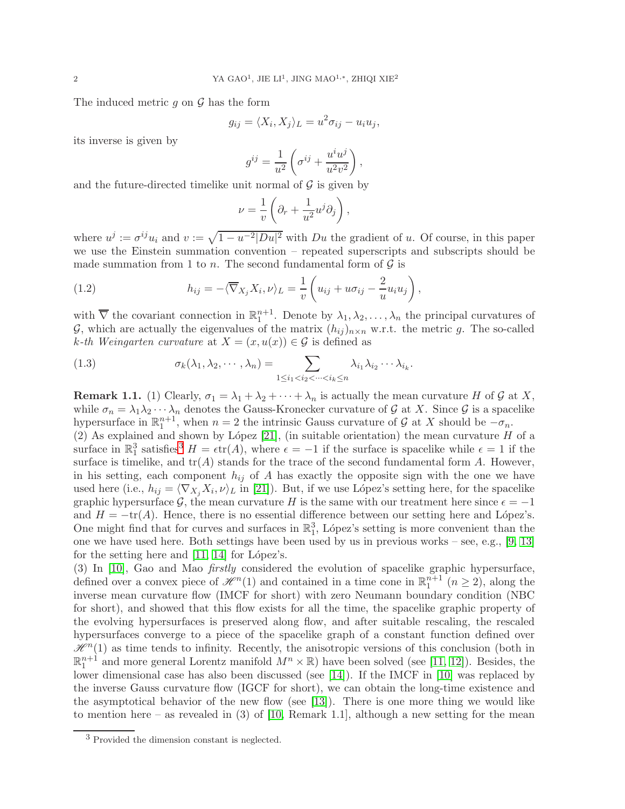The induced metric  $g$  on  $\mathcal G$  has the form

$$
g_{ij} = \langle X_i, X_j \rangle_L = u^2 \sigma_{ij} - u_i u_j,
$$

its inverse is given by

$$
g^{ij} = \frac{1}{u^2} \left( \sigma^{ij} + \frac{u^i u^j}{u^2 v^2} \right),
$$

and the future-directed timelike unit normal of  $\mathcal G$  is given by

<span id="page-1-1"></span>
$$
\nu = \frac{1}{v} \left( \partial_r + \frac{1}{u^2} u^j \partial_j \right),\,
$$

where  $u^j := \sigma^{ij} u_i$  and  $v := \sqrt{1 - u^{-2} |Du|^2}$  with  $Du$  the gradient of u. Of course, in this paper we use the Einstein summation convention – repeated superscripts and subscripts should be made summation from 1 to n. The second fundamental form of  $\mathcal G$  is

(1.2) 
$$
h_{ij} = -\langle \overline{\nabla}_{X_j} X_i, \nu \rangle_L = \frac{1}{v} \left( u_{ij} + u \sigma_{ij} - \frac{2}{u} u_i u_j \right),
$$

with  $\overline{\nabla}$  the covariant connection in  $\mathbb{R}^{n+1}_1$ . Denote by  $\lambda_1, \lambda_2, \ldots, \lambda_n$  the principal curvatures of G, which are actually the eigenvalues of the matrix  $(h_{ij})_{n\times n}$  w.r.t. the metric g. The so-called k-th Weingarten curvature at  $X = (x, u(x)) \in \mathcal{G}$  is defined as

<span id="page-1-2"></span>(1.3) 
$$
\sigma_k(\lambda_1, \lambda_2, \cdots, \lambda_n) = \sum_{1 \leq i_1 < i_2 < \cdots < i_k \leq n} \lambda_{i_1} \lambda_{i_2} \cdots \lambda_{i_k}.
$$

**Remark 1.1.** (1) Clearly,  $\sigma_1 = \lambda_1 + \lambda_2 + \cdots + \lambda_n$  is actually the mean curvature H of G at X, while  $\sigma_n = \lambda_1 \lambda_2 \cdots \lambda_n$  denotes the Gauss-Kronecker curvature of G at X. Since G is a spacelike hypersurface in  $\mathbb{R}^{n+1}_1$ , when  $n = 2$  the intrinsic Gauss curvature of  $\mathcal G$  at X should be  $-\sigma_n$ . (2) As explained and shown by López [\[21\]](#page-18-0), (in suitable orientation) the mean curvature  $H$  of a surface in  $\mathbb{R}^3_1$  $\mathbb{R}^3_1$  $\mathbb{R}^3_1$  satisfies<sup>3</sup>  $H = \epsilon \text{tr}(A)$ , where  $\epsilon = -1$  if the surface is spacelike while  $\epsilon = 1$  if the surface is timelike, and  $tr(A)$  stands for the trace of the second fundamental form A. However, in his setting, each component  $h_{ij}$  of A has exactly the opposite sign with the one we have used here (i.e.,  $h_{ij} = \langle \nabla_{X_j} X_i, \nu \rangle_L$  in [\[21\]](#page-18-0)). But, if we use López's setting here, for the spacelike graphic hypersurface G, the mean curvature H is the same with our treatment here since  $\epsilon = -1$ and  $H = -\text{tr}(A)$ . Hence, there is no essential difference between our setting here and López's. One might find that for curves and surfaces in  $\mathbb{R}^3$ , López's setting is more convenient than the one we have used here. Both settings have been used by us in previous works – see, e.g., [\[9,](#page-18-1) [13\]](#page-18-2) for the setting here and  $[11, 14]$  $[11, 14]$  for López's.

(3) In [\[10\]](#page-18-5), Gao and Mao firstly considered the evolution of spacelike graphic hypersurface, defined over a convex piece of  $\mathcal{H}^n(1)$  and contained in a time cone in  $\mathbb{R}^{n+1}_1$   $(n \geq 2)$ , along the inverse mean curvature flow (IMCF for short) with zero Neumann boundary condition (NBC for short), and showed that this flow exists for all the time, the spacelike graphic property of the evolving hypersurfaces is preserved along flow, and after suitable rescaling, the rescaled hypersurfaces converge to a piece of the spacelike graph of a constant function defined over  $\mathscr{H}^n(1)$  as time tends to infinity. Recently, the anisotropic versions of this conclusion (both in  $\mathbb{R}^{n+1}$  and more general Lorentz manifold  $M^n \times \mathbb{R}$  have been solved (see [\[11,](#page-18-3) [12\]](#page-18-6)). Besides, the lower dimensional case has also been discussed (see [\[14\]](#page-18-4)). If the IMCF in [\[10\]](#page-18-5) was replaced by the inverse Gauss curvature flow (IGCF for short), we can obtain the long-time existence and the asymptotical behavior of the new flow (see [\[13\]](#page-18-2)). There is one more thing we would like to mention here – as revealed in (3) of [\[10,](#page-18-5) Remark 1.1], although a new setting for the mean

<span id="page-1-0"></span><sup>3</sup> Provided the dimension constant is neglected.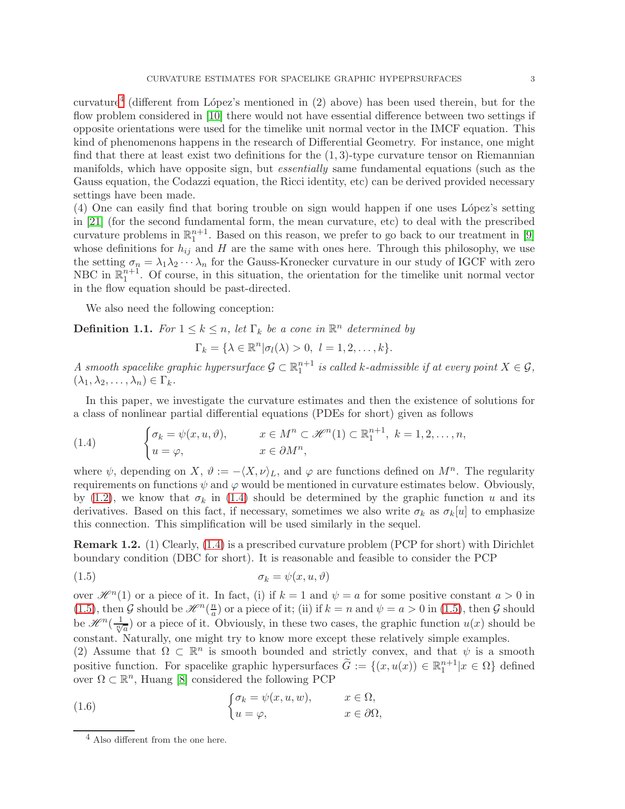curvature<sup>[4](#page-2-0)</sup> (different from López's mentioned in  $(2)$  above) has been used therein, but for the flow problem considered in [\[10\]](#page-18-5) there would not have essential difference between two settings if opposite orientations were used for the timelike unit normal vector in the IMCF equation. This kind of phenomenons happens in the research of Differential Geometry. For instance, one might find that there at least exist two definitions for the  $(1,3)$ -type curvature tensor on Riemannian manifolds, which have opposite sign, but essentially same fundamental equations (such as the Gauss equation, the Codazzi equation, the Ricci identity, etc) can be derived provided necessary settings have been made.

(4) One can easily find that boring trouble on sign would happen if one uses L´opez's setting in [\[21\]](#page-18-0) (for the second fundamental form, the mean curvature, etc) to deal with the prescribed curvature problems in  $\mathbb{R}^{n+1}_1$ . Based on this reason, we prefer to go back to our treatment in [\[9\]](#page-18-1) whose definitions for  $h_{ij}$  and H are the same with ones here. Through this philosophy, we use the setting  $\sigma_n = \lambda_1 \lambda_2 \cdots \lambda_n$  for the Gauss-Kronecker curvature in our study of IGCF with zero NBC in  $\mathbb{R}^{n+1}_1$ . Of course, in this situation, the orientation for the timelike unit normal vector in the flow equation should be past-directed.

We also need the following conception:

**Definition 1.1.** For  $1 \leq k \leq n$ , let  $\Gamma_k$  be a cone in  $\mathbb{R}^n$  determined by

$$
\Gamma_k = \{ \lambda \in \mathbb{R}^n | \sigma_l(\lambda) > 0, \ l = 1, 2, \dots, k \}.
$$

A smooth spacelike graphic hypersurface  $\mathcal{G} \subset \mathbb{R}^{n+1}_1$  is called k-admissible if at every point  $X \in \mathcal{G}$ ,  $(\lambda_1, \lambda_2, \ldots, \lambda_n) \in \Gamma_k$ .

In this paper, we investigate the curvature estimates and then the existence of solutions for a class of nonlinear partial differential equations (PDEs for short) given as follows

<span id="page-2-1"></span>(1.4) 
$$
\begin{cases} \sigma_k = \psi(x, u, \vartheta), & x \in M^n \subset \mathcal{H}^n(1) \subset \mathbb{R}^{n+1}_1, \ k = 1, 2, \dots, n, \\ u = \varphi, & x \in \partial M^n, \end{cases}
$$

where  $\psi$ , depending on X,  $\vartheta := -\langle X, \nu \rangle_L$ , and  $\varphi$  are functions defined on  $M^n$ . The regularity requirements on functions  $\psi$  and  $\varphi$  would be mentioned in curvature estimates below. Obviously, by [\(1.2\)](#page-1-1), we know that  $\sigma_k$  in [\(1.4\)](#page-2-1) should be determined by the graphic function u and its derivatives. Based on this fact, if necessary, sometimes we also write  $\sigma_k$  as  $\sigma_k[u]$  to emphasize this connection. This simplification will be used similarly in the sequel.

Remark 1.2. (1) Clearly, [\(1.4\)](#page-2-1) is a prescribed curvature problem (PCP for short) with Dirichlet boundary condition (DBC for short). It is reasonable and feasible to consider the PCP

<span id="page-2-2"></span>
$$
\sigma_k = \psi(x, u, \vartheta)
$$

over  $\mathcal{H}^n(1)$  or a piece of it. In fact, (i) if  $k = 1$  and  $\psi = a$  for some positive constant  $a > 0$  in  $(1.5)$ , then G should be  $\mathscr{H}^n(\frac{n}{a})$  $\frac{n}{a}$  or a piece of it; (ii) if  $k = n$  and  $\psi = a > 0$  in [\(1.5\)](#page-2-2), then  $\mathcal G$  should be  $\mathscr{H}^n(\frac{1}{\sqrt[n]{a}})$  or a piece of it. Obviously, in these two cases, the graphic function  $u(x)$  should be constant. Naturally, one might try to know more except these relatively simple examples.

(2) Assume that  $\Omega \subset \mathbb{R}^n$  is smooth bounded and strictly convex, and that  $\psi$  is a smooth positive function. For spacelike graphic hypersurfaces  $\tilde{G} := \{(x, u(x)) \in \mathbb{R}^{n+1}_1 | x \in \Omega\}$  defined over  $\Omega \subset \mathbb{R}^n$ , Huang [\[8\]](#page-18-7) considered the following PCP

(1.6) 
$$
\begin{cases} \sigma_k = \psi(x, u, w), & x \in \Omega, \\ u = \varphi, & x \in \partial\Omega, \end{cases}
$$

<span id="page-2-3"></span><span id="page-2-0"></span><sup>4</sup> Also different from the one here.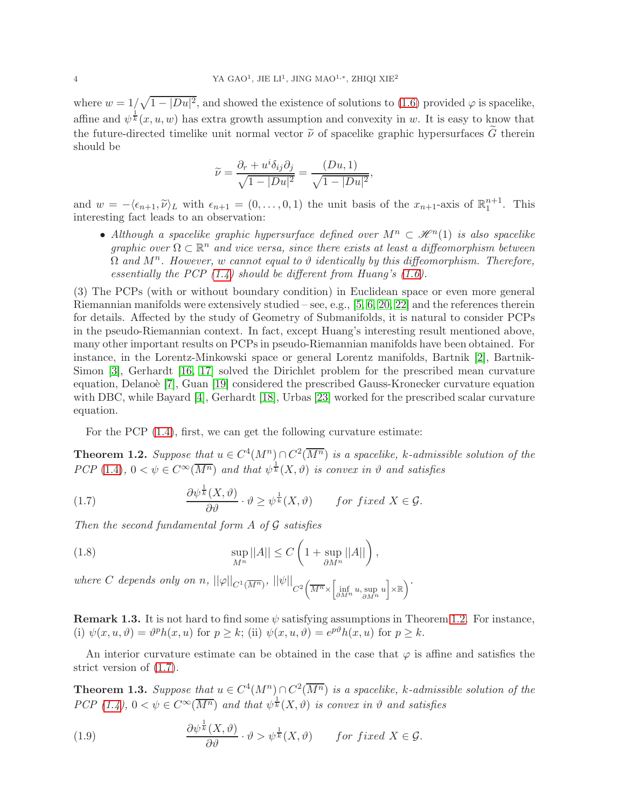where  $w = 1/\sqrt{1 - |Du|^2}$ , and showed the existence of solutions to [\(1.6\)](#page-2-3) provided  $\varphi$  is spacelike, affine and  $\psi^{\frac{1}{k}}(x, u, w)$  has extra growth assumption and convexity in w. It is easy to know that the future-directed timelike unit normal vector  $\tilde{\nu}$  of spacelike graphic hypersurfaces G therein should be

$$
\widetilde{\nu} = \frac{\partial_r + u^i \delta_{ij} \partial_j}{\sqrt{1 - |Du|^2}} = \frac{(Du, 1)}{\sqrt{1 - |Du|^2}},
$$

and  $w = -\langle \epsilon_{n+1}, \tilde{\nu} \rangle_L$  with  $\epsilon_{n+1} = (0, \ldots, 0, 1)$  the unit basis of the  $x_{n+1}$ -axis of  $\mathbb{R}^{n+1}_1$ . This interesting fact leads to an observation:

• Although a spacelike graphic hypersurface defined over  $M^n \subset \mathcal{H}^n(1)$  is also spacelike graphic over  $\Omega \subset \mathbb{R}^n$  and vice versa, since there exists at least a diffeomorphism between  $\Omega$  and  $M^n$ . However, w cannot equal to  $\vartheta$  identically by this diffeomorphism. Therefore, essentially the PCP  $(1.4)$  should be different from Huang's  $(1.6)$ .

(3) The PCPs (with or without boundary condition) in Euclidean space or even more general Riemannian manifolds were extensively studied – see, e.g.,  $[5, 6, 20, 22]$  $[5, 6, 20, 22]$  $[5, 6, 20, 22]$  $[5, 6, 20, 22]$  and the references therein for details. Affected by the study of Geometry of Submanifolds, it is natural to consider PCPs in the pseudo-Riemannian context. In fact, except Huang's interesting result mentioned above, many other important results on PCPs in pseudo-Riemannian manifolds have been obtained. For instance, in the Lorentz-Minkowski space or general Lorentz manifolds, Bartnik [\[2\]](#page-17-2), Bartnik-Simon [\[3\]](#page-17-3), Gerhardt [\[16,](#page-18-10) [17\]](#page-18-11) solved the Dirichlet problem for the prescribed mean curvature equation, Delano'e [\[7\]](#page-17-4), Guan [\[19\]](#page-18-12) considered the prescribed Gauss-Kronecker curvature equation with DBC, while Bayard [\[4\]](#page-17-5), Gerhardt [\[18\]](#page-18-13), Urbas [\[23\]](#page-18-14) worked for the prescribed scalar curvature equation.

For the PCP [\(1.4\)](#page-2-1), first, we can get the following curvature estimate:

<span id="page-3-0"></span>**Theorem 1.2.** Suppose that  $u \in C^4(M^n) \cap C^2(\overline{M^n})$  is a spacelike, k-admissible solution of the PCP (1.[4\)](#page-2-1),  $0 < \psi \in C^{\infty}(\overline{M^n})$  and that  $\psi^{\frac{1}{k}}(X,\vartheta)$  is convex in  $\vartheta$  and satisfies

<span id="page-3-1"></span>(1.7) 
$$
\frac{\partial \psi^{\frac{1}{k}}(X,\vartheta)}{\partial \vartheta} \cdot \vartheta \geq \psi^{\frac{1}{k}}(X,\vartheta) \quad \text{for fixed } X \in \mathcal{G}.
$$

Then the second fundamental form  $A$  of  $G$  satisfies

<span id="page-3-3"></span>(1.8) 
$$
\sup_{M^n} ||A|| \leq C \left( 1 + \sup_{\partial M^n} ||A|| \right),
$$

where C depends only on n,  $||\varphi||_{C^1(\overline{M^n})}$ ,  $||\psi||_{C^2\left(\overline{M^n} \times \left[\inf_{\partial M^n} u, \sup_{\partial M^n} u\right] \times \mathbb{R}\right)}$  $\setminus$ .

**Remark 1.3.** It is not hard to find some  $\psi$  satisfying assumptions in Theorem [1.2.](#page-3-0) For instance, (i)  $\psi(x, u, \vartheta) = \vartheta^p h(x, u)$  for  $p \geq k$ ; (ii)  $\psi(x, u, \vartheta) = e^{p\vartheta} h(x, u)$  for  $p \geq k$ .

An interior curvature estimate can be obtained in the case that  $\varphi$  is affine and satisfies the strict version of [\(1.7\)](#page-3-1).

<span id="page-3-2"></span>**Theorem 1.3.** Suppose that  $u \in C^4(M^n) \cap C^2(\overline{M^n})$  is a spacelike, k-admissible solution of the PCP [\(1.4\)](#page-2-1),  $0 < \psi \in C^{\infty}(\overline{M^n})$  and that  $\psi^{\frac{1}{k}}(X, \vartheta)$  is convex in  $\vartheta$  and satisfies

<span id="page-3-4"></span>(1.9) 
$$
\frac{\partial \psi^{\frac{1}{k}}(X,\vartheta)}{\partial \vartheta} \cdot \vartheta > \psi^{\frac{1}{k}}(X,\vartheta) \quad \text{for fixed } X \in \mathcal{G}.
$$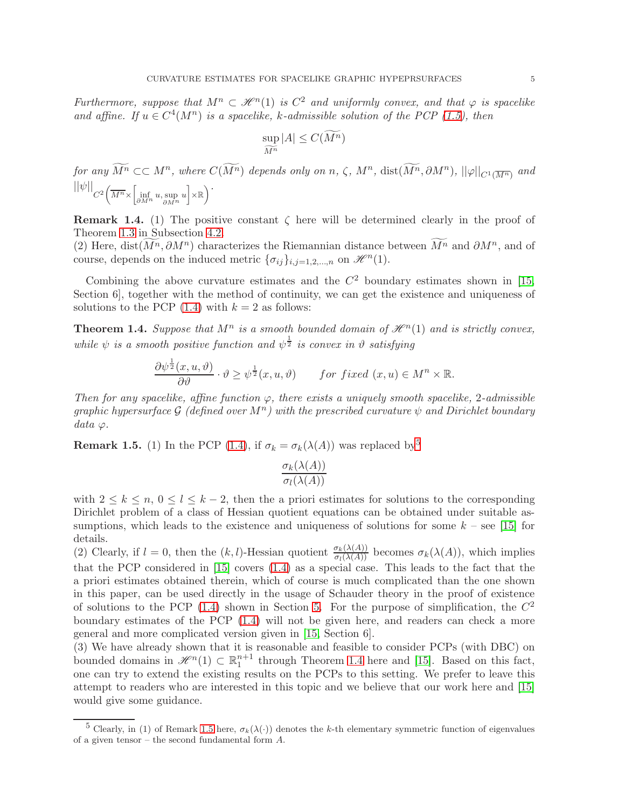Furthermore, suppose that  $M^n \subset \mathcal{H}^n(1)$  is  $C^2$  and uniformly convex, and that  $\varphi$  is spacelike and affine. If  $u \in C^4(M^n)$  is a spacelike, k-admissible solution of the PCP [\(1.5\)](#page-2-2), then

$$
\sup_{\widetilde{M^n}} |A| \le C(\widetilde{M^n})
$$

for any  $\widetilde{M^n}\subset\subset M^n$ , where  $C(\widetilde{M^n})$  depends only on  $n, \zeta$ ,  $M^n$ ,  $\text{dist}(\widetilde{M^n}, \partial M^n)$ ,  $||\varphi||_{C^1(\overline{M^n})}$  and  $\left|\left|\psi\right|\right|_{C^2 \left(\overline{M^n} \times \left[ \inf_{\partial M^n} u, \sup_{\partial M^n} u\right] \times \mathbb{R} \right)}$  $\setminus$ .

**Remark 1.4.** (1) The positive constant  $\zeta$  here will be determined clearly in the proof of Theorem [1.3](#page-3-2) in Subsection [4.2.](#page-10-0)

(2) Here, dist $(M^n, \partial M^n)$  characterizes the Riemannian distance between  $\widetilde{M}^n$  and  $\partial M^n$ , and of course, depends on the induced metric  $\{\sigma_{ij}\}_{i,j=1,2,...,n}$  on  $\mathcal{H}^n(1)$ .

Combining the above curvature estimates and the  $C<sup>2</sup>$  boundary estimates shown in [\[15,](#page-18-15) Section 6], together with the method of continuity, we can get the existence and uniqueness of solutions to the PCP  $(1.4)$  with  $k = 2$  as follows:

<span id="page-4-1"></span>**Theorem 1.4.** Suppose that  $M^n$  is a smooth bounded domain of  $\mathcal{H}^n(1)$  and is strictly convex, while  $\psi$  is a smooth positive function and  $\psi^{\frac{1}{2}}$  is convex in  $\vartheta$  satisfying

$$
\frac{\partial \psi^{\frac{1}{2}}(x, u, \vartheta)}{\partial \vartheta} \cdot \vartheta \geq \psi^{\frac{1}{2}}(x, u, \vartheta) \quad \text{for fixed } (x, u) \in M^n \times \mathbb{R}.
$$

Then for any spacelike, affine function  $\varphi$ , there exists a uniquely smooth spacelike, 2-admissible graphic hypersurface G (defined over  $M^n$ ) with the prescribed curvature  $\psi$  and Dirichlet boundary  $data \varphi$ .

<span id="page-4-2"></span>**Remark 1.[5](#page-4-0).** (1) In the PCP [\(1.4\)](#page-2-1), if  $\sigma_k = \sigma_k(\lambda(A))$  was replaced by <sup>5</sup>

$$
\frac{\sigma_k(\lambda(A))}{\sigma_l(\lambda(A))}
$$

with  $2 \leq k \leq n, 0 \leq l \leq k-2$ , then the a priori estimates for solutions to the corresponding Dirichlet problem of a class of Hessian quotient equations can be obtained under suitable assumptions, which leads to the existence and uniqueness of solutions for some  $k$  – see [\[15\]](#page-18-15) for details.

(2) Clearly, if  $l = 0$ , then the  $(k, l)$ -Hessian quotient  $\frac{\sigma_k(\lambda(A))}{\sigma_l(\lambda(A))}$  becomes  $\sigma_k(\lambda(A))$ , which implies that the PCP considered in [\[15\]](#page-18-15) covers [\(1.4\)](#page-2-1) as a special case. This leads to the fact that the a priori estimates obtained therein, which of course is much complicated than the one shown in this paper, can be used directly in the usage of Schauder theory in the proof of existence of solutions to the PCP [\(1.4\)](#page-2-1) shown in Section [5.](#page-16-0) For the purpose of simplification, the  $C^2$ boundary estimates of the PCP [\(1.4\)](#page-2-1) will not be given here, and readers can check a more general and more complicated version given in [\[15,](#page-18-15) Section 6].

(3) We have already shown that it is reasonable and feasible to consider PCPs (with DBC) on bounded domains in  $\mathcal{H}^n(1) \subset \mathbb{R}^{n+1}$  through Theorem [1.4](#page-4-1) here and [\[15\]](#page-18-15). Based on this fact, one can try to extend the existing results on the PCPs to this setting. We prefer to leave this attempt to readers who are interested in this topic and we believe that our work here and [\[15\]](#page-18-15) would give some guidance.

<span id="page-4-0"></span><sup>&</sup>lt;sup>5</sup> Clearly, in (1) of Remark [1.5](#page-4-2) here,  $\sigma_k(\lambda(\cdot))$  denotes the k-th elementary symmetric function of eigenvalues of a given tensor – the second fundamental form  $A$ .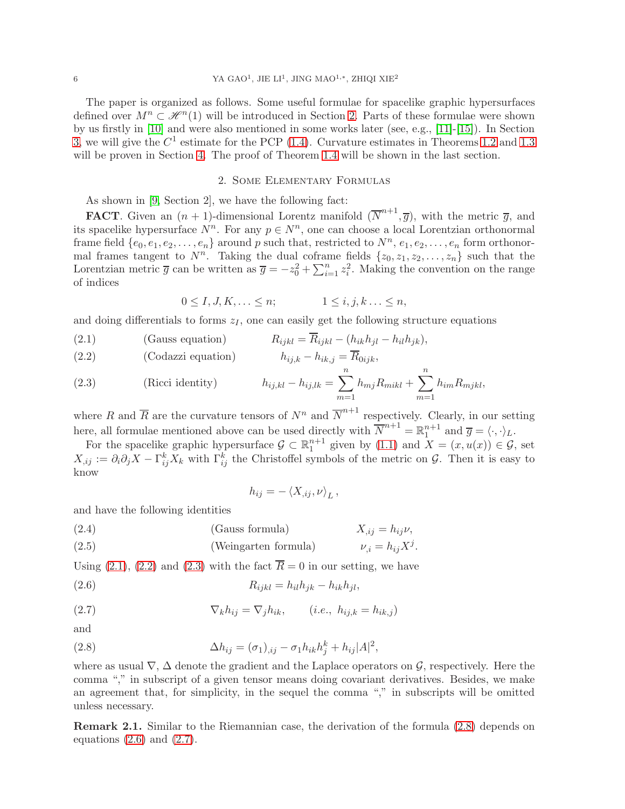# 6 YA GAO<sup>1</sup>, JIE LI<sup>1</sup>, JING MAO<sup>1,∗</sup>, ZHIQI XIE<sup>2</sup>

The paper is organized as follows. Some useful formulae for spacelike graphic hypersurfaces defined over  $M^n \subset \mathcal{H}^n(1)$  will be introduced in Section [2.](#page-5-0) Parts of these formulae were shown by us firstly in [\[10\]](#page-18-5) and were also mentioned in some works later (see, e.g., [\[11\]](#page-18-3)-[\[15\]](#page-18-15)). In Section [3,](#page-7-0) we will give the  $C<sup>1</sup>$  estimate for the PCP [\(1.4\)](#page-2-1). Curvature estimates in Theorems [1.2](#page-3-0) and [1.3](#page-3-2) will be proven in Section [4.](#page-9-0) The proof of Theorem [1.4](#page-4-1) will be shown in the last section.

## 2. Some Elementary Formulas

<span id="page-5-0"></span>As shown in [\[9,](#page-18-1) Section 2], we have the following fact:

**FACT**. Given an  $(n + 1)$ -dimensional Lorentz manifold  $(\overline{N}^{n+1}, \overline{g})$ , with the metric  $\overline{g}$ , and its spacelike hypersurface  $N^n$ . For any  $p \in N^n$ , one can choose a local Lorentzian orthonormal frame field  $\{e_0, e_1, e_2, \ldots, e_n\}$  around p such that, restricted to  $N^n$ ,  $e_1, e_2, \ldots, e_n$  form orthonormal frames tangent to  $N^n$ . Taking the dual coframe fields  $\{z_0, z_1, z_2, \ldots, z_n\}$  such that the Lorentzian metric  $\overline{g}$  can be written as  $\overline{g} = -z_0^2 + \sum_{i=1}^n z_i^2$ . Making the convention on the range of indices

$$
0 \le I, J, K, \ldots \le n; \qquad \qquad 1 \le i, j, k \ldots \le n,
$$

and doing differentials to forms  $z_I$ , one can easily get the following structure equations

<span id="page-5-1"></span>(2.1) (Gauss equation)  $R_{ijkl} = \overline{R}_{ijkl} - (h_{ik}h_{il} - h_{il}h_{ik}),$ 

(2.2) (Codazzi equation) 
$$
h_{ij,k} - h_{ik,j} = \overline{R}_{0ijk},
$$

(2.3) (Ricci identity) 
$$
h_{ij,kl} - h_{ij,lk} = \sum_{m=1}^{n} h_{mj} R_{mikl} + \sum_{m=1}^{n} h_{im} R_{mjkl},
$$

where R and  $\overline{R}$  are the curvature tensors of  $N^n$  and  $\overline{N}^{n+1}$  respectively. Clearly, in our setting here, all formulae mentioned above can be used directly with  $\overline{N}^{n+1} = \mathbb{R}^{n+1}_1$  and  $\overline{g} = \langle \cdot, \cdot \rangle_L$ .

For the spacelike graphic hypersurface  $\mathcal{G} \subset \mathbb{R}^{n+1}$  given by  $(1.1)$  and  $\overline{X} = (x, u(x)) \in \mathcal{G}$ , set  $X_{,ij} := \partial_i \partial_j X - \Gamma_{ij}^k X_k$  with  $\Gamma_{ij}^k$  the Christoffel symbols of the metric on  $\mathcal{G}$ . Then it is easy to know

<span id="page-5-5"></span><span id="page-5-4"></span><span id="page-5-3"></span>
$$
h_{ij} = -\left\langle X_{,ij}, \nu \right\rangle_L,
$$

and have the following identities

(2.4) (Gauss formula) 
$$
X_{,ij} = h_{ij}\nu
$$
,  
(2.5) (Weingarten formula)  $\nu_{,i} = h_{ij}X^j$ .

Using [\(2.1\)](#page-5-1), [\(2.2\)](#page-5-1) and [\(2.3\)](#page-5-1) with the fact  $\overline{R} = 0$  in our setting, we have

$$
(2.6) \t\t R_{ijkl} = h_{il}h_{jk} - h_{ik}h_{jl},
$$

(2.7) 
$$
\nabla_k h_{ij} = \nabla_j h_{ik}, \qquad (i.e., h_{ij,k} = h_{ik,j})
$$

and

<span id="page-5-2"></span>(2.8) 
$$
\Delta h_{ij} = (\sigma_1)_{,ij} - \sigma_1 h_{ik} h_j^k + h_{ij} |A|^2,
$$

where as usual  $\nabla$ ,  $\Delta$  denote the gradient and the Laplace operators on  $\mathcal{G}$ , respectively. Here the comma "," in subscript of a given tensor means doing covariant derivatives. Besides, we make an agreement that, for simplicity, in the sequel the comma "," in subscripts will be omitted unless necessary.

Remark 2.1. Similar to the Riemannian case, the derivation of the formula [\(2.8\)](#page-5-2) depends on equations  $(2.6)$  and  $(2.7)$ .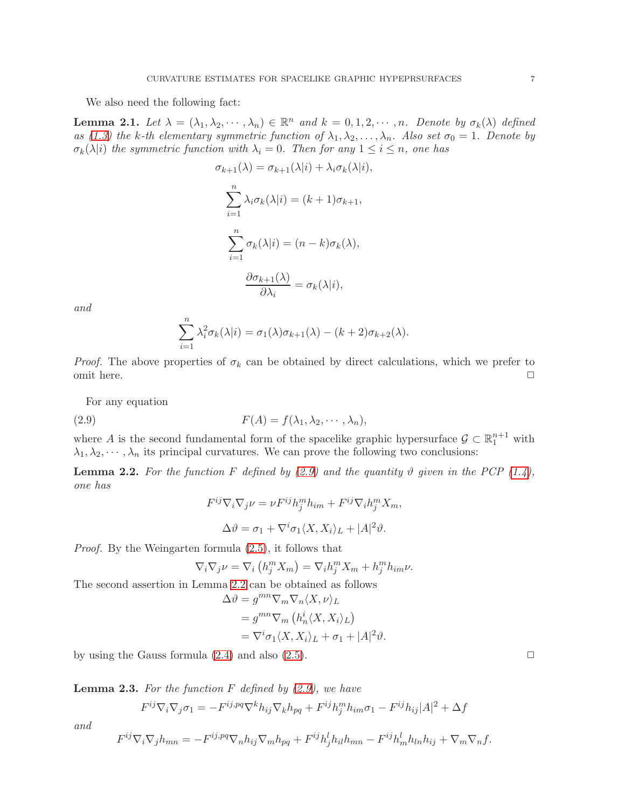We also need the following fact:

<span id="page-6-3"></span>**Lemma 2.1.** Let  $\lambda = (\lambda_1, \lambda_2, \dots, \lambda_n) \in \mathbb{R}^n$  and  $k = 0, 1, 2, \dots, n$ . Denote by  $\sigma_k(\lambda)$  defined as [\(1.3\)](#page-1-2) the k-th elementary symmetric function of  $\lambda_1, \lambda_2, ..., \lambda_n$ . Also set  $\sigma_0 = 1$ . Denote by  $\sigma_k(\lambda|i)$  the symmetric function with  $\lambda_i = 0$ . Then for any  $1 \leq i \leq n$ , one has

$$
\sigma_{k+1}(\lambda) = \sigma_{k+1}(\lambda|i) + \lambda_i \sigma_k(\lambda|i),
$$

$$
\sum_{i=1}^n \lambda_i \sigma_k(\lambda|i) = (k+1)\sigma_{k+1},
$$

$$
\sum_{i=1}^n \sigma_k(\lambda|i) = (n-k)\sigma_k(\lambda),
$$

$$
\frac{\partial \sigma_{k+1}(\lambda)}{\partial \lambda_i} = \sigma_k(\lambda|i),
$$

and

$$
\sum_{i=1}^{n} \lambda_i^2 \sigma_k(\lambda|i) = \sigma_1(\lambda)\sigma_{k+1}(\lambda) - (k+2)\sigma_{k+2}(\lambda).
$$

*Proof.* The above properties of  $\sigma_k$  can be obtained by direct calculations, which we prefer to omit here.  $\Box$ 

For any equation

(2.9) 
$$
F(A) = f(\lambda_1, \lambda_2, \cdots, \lambda_n),
$$

where A is the second fundamental form of the spacelike graphic hypersurface  $\mathcal{G} \subset \mathbb{R}^{n+1}_1$  with  $\lambda_1, \lambda_2, \dots, \lambda_n$  its principal curvatures. We can prove the following two conclusions:

<span id="page-6-1"></span>**Lemma 2.2.** For the function F defined by [\(2.9\)](#page-6-0) and the quantity  $\vartheta$  given in the PCP [\(1.4\)](#page-2-1), one has

<span id="page-6-0"></span>
$$
F^{ij}\nabla_i\nabla_j \nu = \nu F^{ij}h_j^m h_{im} + F^{ij}\nabla_i h_j^m X_m,
$$
  

$$
\Delta \vartheta = \sigma_1 + \nabla^i \sigma_1 \langle X, X_i \rangle_L + |A|^2 \vartheta.
$$

Proof. By the Weingarten formula [\(2.5\)](#page-5-5), it follows that

$$
\nabla_i \nabla_j \nu = \nabla_i \left( h_j^m X_m \right) = \nabla_i h_j^m X_m + h_j^m h_{im} \nu.
$$

The second assertion in Lemma [2.2](#page-6-1) can be obtained as follows

$$
\Delta \vartheta = g^{mn} \nabla_m \nabla_n \langle X, \nu \rangle_L
$$
  
=  $g^{mn} \nabla_m \left( h_n^i \langle X, X_i \rangle_L \right)$   
=  $\nabla^i \sigma_1 \langle X, X_i \rangle_L + \sigma_1 + |A|^2 \vartheta.$ 

by using the Gauss formula  $(2.4)$  and also  $(2.5)$ .

<span id="page-6-2"></span>**Lemma 2.3.** For the function F defined by  $(2.9)$ , we have

$$
F^{ij}\nabla_i\nabla_j\sigma_1 = -F^{ij,pq}\nabla^k h_{ij}\nabla_k h_{pq} + F^{ij}h_j^m h_{im}\sigma_1 - F^{ij}h_{ij}|A|^2 + \Delta f
$$

and

$$
F^{ij}\nabla_i\nabla_j h_{mn} = -F^{ij,pq}\nabla_n h_{ij}\nabla_m h_{pq} + F^{ij}h^l_jh_{il}h_{mn} - F^{ij}h^l_mh_{ln}h_{ij} + \nabla_m\nabla_n f.
$$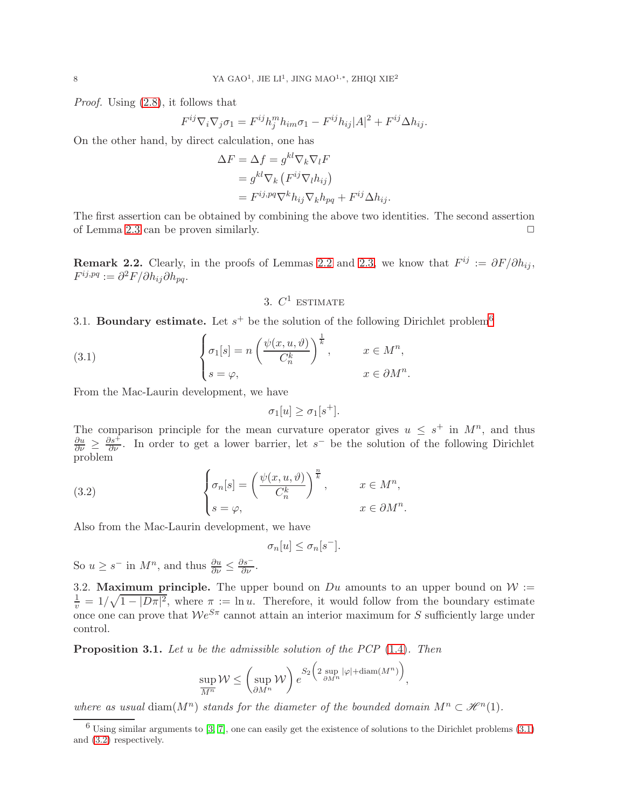Proof. Using [\(2.8\)](#page-5-2), it follows that

$$
F^{ij}\nabla_i\nabla_j\sigma_1 = F^{ij}h_j^m h_{im}\sigma_1 - F^{ij}h_{ij}|A|^2 + F^{ij}\Delta h_{ij}.
$$

On the other hand, by direct calculation, one has

$$
\Delta F = \Delta f = g^{kl} \nabla_k \nabla_l F
$$
  
=  $g^{kl} \nabla_k (F^{ij} \nabla_l h_{ij})$   
=  $F^{ij, pq} \nabla^k h_{ij} \nabla_k h_{pq} + F^{ij} \Delta h_{ij}.$ 

The first assertion can be obtained by combining the above two identities. The second assertion of Lemma [2.3](#page-6-2) can be proven similarly.  $\Box$ 

<span id="page-7-0"></span>**Remark [2.2](#page-6-1).** Clearly, in the proofs of Lemmas 2.2 and [2.3,](#page-6-2) we know that  $F^{ij} := \partial F / \partial h_{ij}$ ,  $F^{ij,pq} := \partial^2 F / \partial h_{ij} \partial h_{pq}.$ 

# <span id="page-7-2"></span>3.  $C^1$  estimate

3.1. Boundary estimate. Let  $s^+$  be the solution of the following Dirichlet problem<sup>[6](#page-7-1)</sup>

(3.1) 
$$
\begin{cases} \sigma_1[s] = n \left( \frac{\psi(x, u, \vartheta)}{C_n^k} \right)^{\frac{1}{k}}, & x \in M^n, \\ s = \varphi, & x \in \partial M^n. \end{cases}
$$

From the Mac-Laurin development, we have

$$
\sigma_1[u] \ge \sigma_1[s^+].
$$

The comparison principle for the mean curvature operator gives  $u \leq s^+$  in  $M^n$ , and thus  $\frac{\partial u}{\partial \nu} \geq \frac{\partial s}{\partial \nu}$ . In order to get a lower barrier, let s<sup>-</sup> be the solution of the following Dirichlet problem

(3.2) 
$$
\begin{cases} \sigma_n[s] = \left(\frac{\psi(x, u, \vartheta)}{C_n^k}\right)^{\frac{n}{k}}, & x \in M^n, \\ s = \varphi, & x \in \partial M^n. \end{cases}
$$

Also from the Mac-Laurin development, we have

<span id="page-7-3"></span>
$$
\sigma_n[u] \leq \sigma_n[s^-].
$$

So  $u \geq s^-$  in  $M^n$ , and thus  $\frac{\partial u}{\partial \nu} \leq \frac{\partial s^-}{\partial \nu}$ .

3.2. Maximum principle. The upper bound on  $Du$  amounts to an upper bound on  $W :=$  $\frac{1}{v} = 1/\sqrt{1 - |D\pi|^2}$ , where  $\pi := \ln u$ . Therefore, it would follow from the boundary estimate once one can prove that  $\mathcal{W}e^{S\pi}$  cannot attain an interior maximum for S sufficiently large under control.

**Proposition 3.1.** Let u be the admissible solution of the PCP  $(1.4)$ . Then

$$
\sup_{\overline{M^n}} \mathcal{W} \le \left(\sup_{\partial M^n} \mathcal{W}\right) e^{S_2\left(2 \sup_{\partial M^n} |\varphi| + \text{diam}(M^n)\right)},
$$

where as usual diam( $M^n$ ) stands for the diameter of the bounded domain  $M^n \subset \mathcal{H}^n(1)$ .

<span id="page-7-1"></span> $6$  Using similar arguments to [\[3,](#page-17-3) [7\]](#page-17-4), one can easily get the existence of solutions to the Dirichlet problems [\(3.1\)](#page-7-2) and [\(3.2\)](#page-7-3) respectively.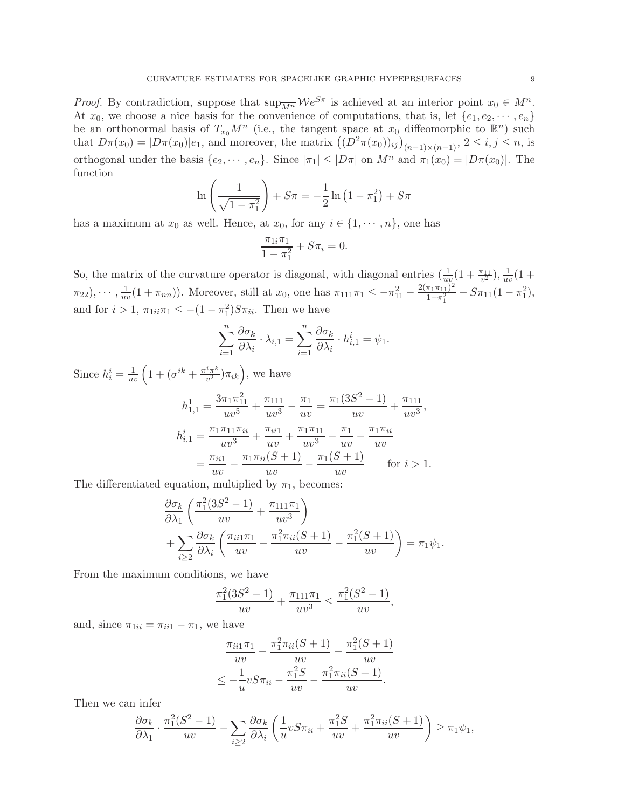*Proof.* By contradiction, suppose that  $\sup_{\overline{M^n}} \mathcal{W}e^{S\pi}$  is achieved at an interior point  $x_0 \in M^n$ . At  $x_0$ , we choose a nice basis for the convenience of computations, that is, let  $\{e_1, e_2, \dots, e_n\}$ be an orthonormal basis of  $T_{x_0}M^n$  (i.e., the tangent space at  $x_0$  diffeomorphic to  $\mathbb{R}^n$ ) such that  $D\pi(x_0) = |D\pi(x_0)|e_1$ , and moreover, the matrix  $((D^2\pi(x_0))_{ij})_{(n-1)\times(n-1)}$ ,  $2 \le i, j \le n$ , is orthogonal under the basis  $\{e_2, \dots, e_n\}$ . Since  $|\pi_1| \leq |D\pi|$  on  $\overline{M^n}$  and  $\pi_1(x_0) = |D\pi(x_0)|$ . The function

$$
\ln\left(\frac{1}{\sqrt{1-\pi_1^2}}\right) + S\pi = -\frac{1}{2}\ln\left(1-\pi_1^2\right) + S\pi
$$

has a maximum at  $x_0$  as well. Hence, at  $x_0$ , for any  $i \in \{1, \dots, n\}$ , one has

$$
\frac{\pi_{1i}\pi_1}{1-\pi_1^2} + S\pi_i = 0.
$$

So, the matrix of the curvature operator is diagonal, with diagonal entries  $(\frac{1}{uv}(1+\frac{\pi_{11}}{v^2}), \frac{1}{uv}(1+\frac{\pi_{21}}{v^2}))$  $\pi_{22}), \cdots, \frac{1}{uv}(1+\pi_{nn})$ . Moreover, still at  $x_0$ , one has  $\pi_{111}\pi_1 \leq -\pi_{11}^2 - \frac{2(\pi_1\pi_{11})^2}{1-\pi_1^2}$  $\frac{\pi_1 \pi_{11}^2}{1-\pi_1^2} - S\pi_{11}(1-\pi_1^2),$ and for  $i > 1$ ,  $\pi_{1ii}\pi_1 \leq -(1 - \pi_1^2)S\pi_{ii}$ . Then we have

$$
\sum_{i=1}^{n} \frac{\partial \sigma_k}{\partial \lambda_i} \cdot \lambda_{i,1} = \sum_{i=1}^{n} \frac{\partial \sigma_k}{\partial \lambda_i} \cdot h_{i,1}^i = \psi_1.
$$

Since  $h_i^i = \frac{1}{uv} \left( 1 + (\sigma^{ik} + \frac{\pi^i \pi^k}{v^2}) \right)$  $(\frac{i\pi^k}{v^2})\pi_{ik}$ , we have  $h_{1,1}^1 = \frac{3\pi_1\pi_{11}^2}{\pi_1\pi_2^2}$  $\frac{\pi_1\pi_{11}^2}{uv^5} + \frac{\pi_{111}}{uv^3}$  $\frac{\pi_{111}}{uv^3} - \frac{\pi_1}{uv}$  $\frac{\pi_1}{uv} = \frac{\pi_1(3S^2 - 1)}{uv}$  $\frac{(S^2-1)}{uv} + \frac{\pi_{111}}{uv^3}$  $\frac{111}{uv^3}$ ,  $h_{i,1}^i = \frac{\pi_1 \pi_{11} \pi_{ii}}{u_i^3}$  $\frac{\pi_{11}\pi_{ii}}{uv^3} + \frac{\pi_{ii1}}{uv}$  $\frac{\pi_{ii1}}{uv} + \frac{\pi_1 \pi_{11}}{uv^3}$  $\frac{\tau_1 \pi_{11}}{uv^3} - \frac{\pi_1}{uv}$  $\frac{\pi_1}{uv} - \frac{\pi_1 \pi_{ii}}{uv}$ uv  $=\frac{\pi_{ii1}}{i}$  $\frac{\pi_{ii1}}{uv} - \frac{\pi_1 \pi_{ii}(S+1)}{uv}$  $\frac{(S+1)}{uv} - \frac{\pi_1(S+1)}{uv}$  $\frac{v}{uv}$  for  $i > 1$ .

The differentiated equation, multiplied by  $\pi_1$ , becomes:

$$
\frac{\partial \sigma_k}{\partial \lambda_1} \left( \frac{\pi_1^2 (3S^2 - 1)}{uv} + \frac{\pi_{111} \pi_1}{uv^3} \right) \n+ \sum_{i \ge 2} \frac{\partial \sigma_k}{\partial \lambda_i} \left( \frac{\pi_{ii1} \pi_1}{uv} - \frac{\pi_1^2 \pi_{ii} (S + 1)}{uv} - \frac{\pi_1^2 (S + 1)}{uv} \right) = \pi_1 \psi_1.
$$

From the maximum conditions, we have

$$
\frac{\pi_1^2(3S^2 - 1)}{uv} + \frac{\pi_{111}\pi_1}{uv^3} \le \frac{\pi_1^2(S^2 - 1)}{uv},
$$

and, since  $\pi_{1ii} = \pi_{ii1} - \pi_1$ , we have

$$
\frac{\pi_{ii1}\pi_1}{uv} - \frac{\pi_1^2\pi_{ii}(S+1)}{uv} - \frac{\pi_1^2(S+1)}{uv}
$$

$$
\leq -\frac{1}{u}vS\pi_{ii} - \frac{\pi_1^2S}{uv} - \frac{\pi_1^2\pi_{ii}(S+1)}{uv}.
$$

Then we can infer

$$
\frac{\partial \sigma_k}{\partial \lambda_1} \cdot \frac{\pi_1^2 (S^2 - 1)}{uv} - \sum_{i \ge 2} \frac{\partial \sigma_k}{\partial \lambda_i} \left( \frac{1}{u} v S \pi_{ii} + \frac{\pi_1^2 S}{uv} + \frac{\pi_1^2 \pi_{ii} (S + 1)}{uv} \right) \ge \pi_1 \psi_1,
$$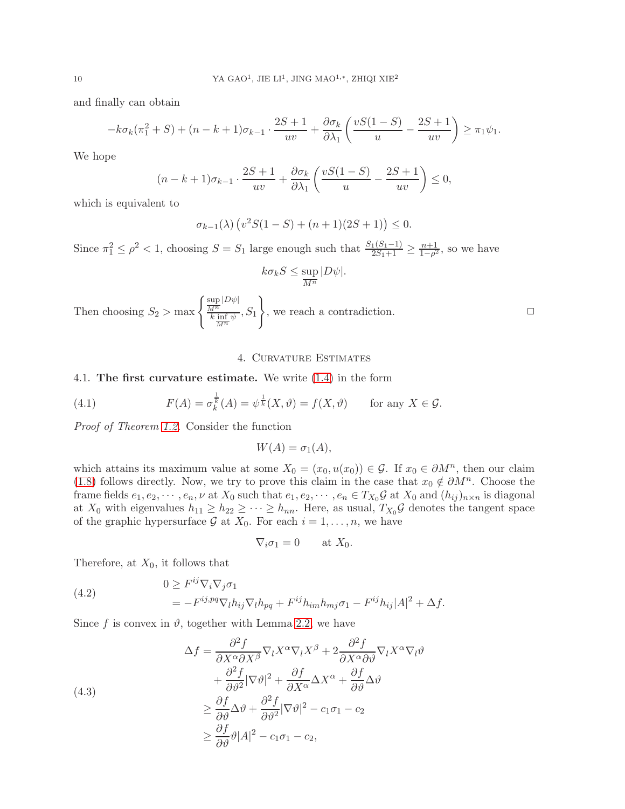and finally can obtain

$$
-k\sigma_k(\pi_1^2+S) + (n-k+1)\sigma_{k-1} \cdot \frac{2S+1}{uv} + \frac{\partial \sigma_k}{\partial \lambda_1} \left( \frac{vS(1-S)}{u} - \frac{2S+1}{uv} \right) \ge \pi_1 \psi_1.
$$

We hope

$$
(n-k+1)\sigma_{k-1} \cdot \frac{2S+1}{uv} + \frac{\partial \sigma_k}{\partial \lambda_1} \left( \frac{vS(1-S)}{u} - \frac{2S+1}{uv} \right) \le 0,
$$

which is equivalent to

$$
\sigma_{k-1}(\lambda) \left( v^2 S(1-S) + (n+1)(2S+1) \right) \le 0.
$$

Since  $\pi_1^2 \le \rho^2 < 1$ , choosing  $S = S_1$  large enough such that  $\frac{S_1(S_1-1)}{2S_1+1} \ge \frac{n+1}{1-\rho^2}$  $\frac{n+1}{1-\rho^2}$ , so we have

$$
k\sigma_k S \le \sup_{\overline{M^n}} |D\psi|.
$$

Then choosing  $S_2 > \max\left\{\frac{\sup\limits_{M^n} |D\psi|}{\frac{k \inf\psi}{k}}\right\}$  $\frac{M^n}{k \cdot \inf\limits_{M^n} \psi}, S_1$  $\mathcal{L}$ , we reach a contradiction.  $\hfill \Box$ 

#### 4. Curvature Estimates

# <span id="page-9-0"></span>4.1. The first curvature estimate. We write [\(1.4\)](#page-2-1) in the form

(4.1) 
$$
F(A) = \sigma_k^{\frac{1}{k}}(A) = \psi^{\frac{1}{k}}(X, \vartheta) = f(X, \vartheta) \quad \text{for any } X \in \mathcal{G}.
$$

Proof of Theorem [1.2.](#page-3-0) Consider the function

$$
W(A) = \sigma_1(A),
$$

which attains its maximum value at some  $X_0 = (x_0, u(x_0)) \in \mathcal{G}$ . If  $x_0 \in \partial M^n$ , then our claim [\(1.8\)](#page-3-3) follows directly. Now, we try to prove this claim in the case that  $x_0 \notin \partial M^n$ . Choose the frame fields  $e_1, e_2, \dots, e_n, \nu$  at  $X_0$  such that  $e_1, e_2, \dots, e_n \in T_{X_0} \mathcal{G}$  at  $X_0$  and  $(h_{ij})_{n \times n}$  is diagonal at  $X_0$  with eigenvalues  $h_{11} \geq h_{22} \geq \cdots \geq h_{nn}$ . Here, as usual,  $T_{X_0} \mathcal{G}$  denotes the tangent space of the graphic hypersurface  $\mathcal G$  at  $X_0$ . For each  $i = 1, \ldots, n$ , we have

$$
\nabla_i \sigma_1 = 0 \quad \text{at } X_0.
$$

Therefore, at  $X_0$ , it follows that

<span id="page-9-2"></span>(4.2) 
$$
0 \geq F^{ij} \nabla_i \nabla_j \sigma_1
$$

$$
= -F^{ij, pq} \nabla_l h_{ij} \nabla_l h_{pq} + F^{ij} h_{im} h_{mj} \sigma_1 - F^{ij} h_{ij} |A|^2 + \Delta f.
$$

Since f is convex in  $\vartheta$ , together with Lemma [2.2,](#page-6-1) we have

<span id="page-9-1"></span>(4.3)  
\n
$$
\Delta f = \frac{\partial^2 f}{\partial X^{\alpha} \partial X^{\beta}} \nabla_l X^{\alpha} \nabla_l X^{\beta} + 2 \frac{\partial^2 f}{\partial X^{\alpha} \partial \vartheta} \nabla_l X^{\alpha} \nabla_l \vartheta \n+ \frac{\partial^2 f}{\partial \vartheta^2} |\nabla \vartheta|^2 + \frac{\partial f}{\partial X^{\alpha}} \Delta X^{\alpha} + \frac{\partial f}{\partial \vartheta} \Delta \vartheta \n\geq \frac{\partial f}{\partial \vartheta} \Delta \vartheta + \frac{\partial^2 f}{\partial \vartheta^2} |\nabla \vartheta|^2 - c_1 \sigma_1 - c_2 \n\geq \frac{\partial f}{\partial \vartheta} \vartheta |A|^2 - c_1 \sigma_1 - c_2,
$$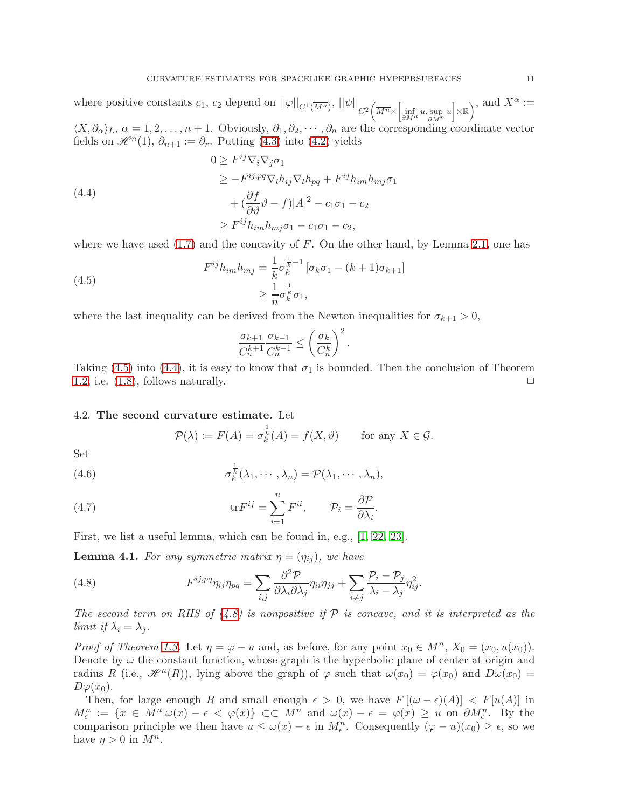where positive constants  $c_1$ ,  $c_2$  depend on  $||\varphi||_{C^1(\overline{M^n})}$ ,  $||\psi||_{C^2(\overline{M^n} \times \left[\inf_{\partial M^n} u, \sup_{\partial M^n} u\right] \times \mathbb{R})}$  $\chi$ , and  $X^{\alpha}$  :=

 $\langle X, \partial_{\alpha} \rangle_L$ ,  $\alpha = 1, 2, \ldots, n + 1$ . Obviously,  $\partial_1, \partial_2, \cdots, \partial_n$  are the corresponding coordinate vector fields on  $\mathscr{H}^n(1)$ ,  $\partial_{n+1} := \partial_r$ . Putting [\(4.3\)](#page-9-1) into [\(4.2\)](#page-9-2) yields

<span id="page-10-2"></span>(4.4)  
\n
$$
0 \ge F^{ij} \nabla_i \nabla_j \sigma_1
$$
\n
$$
\ge -F^{ij, pq} \nabla_l h_{ij} \nabla_l h_{pq} + F^{ij} h_{im} h_{mj} \sigma_1
$$
\n
$$
+ (\frac{\partial f}{\partial \vartheta} \vartheta - f) |A|^2 - c_1 \sigma_1 - c_2
$$
\n
$$
\ge F^{ij} h_{im} h_{mj} \sigma_1 - c_1 \sigma_1 - c_2,
$$

where we have used  $(1.7)$  and the concavity of F. On the other hand, by Lemma [2.1,](#page-6-3) one has

<span id="page-10-1"></span>(4.5) 
$$
F^{ij}h_{im}h_{mj} = \frac{1}{k}\sigma_k^{\frac{1}{k}-1} [\sigma_k \sigma_1 - (k+1)\sigma_{k+1}] \geq \frac{1}{n}\sigma_k^{\frac{1}{k}} \sigma_1,
$$

where the last inequality can be derived from the Newton inequalities for  $\sigma_{k+1} > 0$ ,

$$
\frac{\sigma_{k+1}}{C_n^{k+1}} \frac{\sigma_{k-1}}{C_n^{k-1}} \le \left(\frac{\sigma_k}{C_n^k}\right)^2.
$$

Taking [\(4.5\)](#page-10-1) into [\(4.4\)](#page-10-2), it is easy to know that  $\sigma_1$  is bounded. Then the conclusion of Theorem [1.2,](#page-3-0) i.e.  $(1.8)$ , follows naturally.  $\square$ 

## <span id="page-10-0"></span>4.2. The second curvature estimate. Let

$$
\mathcal{P}(\lambda) := F(A) = \sigma_k^{\frac{1}{k}}(A) = f(X, \vartheta) \quad \text{for any } X \in \mathcal{G}.
$$

Set

(4.6) 
$$
\sigma_k^{\frac{1}{k}}(\lambda_1,\cdots,\lambda_n)=\mathcal{P}(\lambda_1,\cdots,\lambda_n),
$$

(4.7) 
$$
\text{tr} F^{ij} = \sum_{i=1}^{n} F^{ii}, \qquad \mathcal{P}_i = \frac{\partial \mathcal{P}}{\partial \lambda_i}.
$$

First, we list a useful lemma, which can be found in, e.g., [\[1,](#page-17-6) [22,](#page-18-9) [23\]](#page-18-14).

<span id="page-10-4"></span>**Lemma 4.1.** For any symmetric matrix  $\eta = (\eta_{ij})$ , we have

<span id="page-10-3"></span>(4.8) 
$$
F^{ij,pq}\eta_{ij}\eta_{pq} = \sum_{i,j} \frac{\partial^2 \mathcal{P}}{\partial \lambda_i \partial \lambda_j} \eta_{ii}\eta_{jj} + \sum_{i \neq j} \frac{\mathcal{P}_i - \mathcal{P}_j}{\lambda_i - \lambda_j} \eta_{ij}^2.
$$

The second term on RHS of  $(4.8)$  is nonpositive if P is concave, and it is interpreted as the limit if  $\lambda_i = \lambda_j$ .

*Proof of Theorem [1.3.](#page-3-2)* Let  $\eta = \varphi - u$  and, as before, for any point  $x_0 \in M^n$ ,  $X_0 = (x_0, u(x_0))$ . Denote by  $\omega$  the constant function, whose graph is the hyperbolic plane of center at origin and radius R (i.e.,  $\mathcal{H}^n(R)$ ), lying above the graph of  $\varphi$  such that  $\omega(x_0) = \varphi(x_0)$  and  $D\omega(x_0) =$  $D\varphi(x_0)$ .

Then, for large enough R and small enough  $\epsilon > 0$ , we have  $F[(\omega - \epsilon)(A)] < F[u(A)]$  in  $M_{\epsilon}^{n} := \{x \in M^{n} | \omega(x) - \epsilon < \varphi(x) \} \subset\subset M^{n}$  and  $\omega(x) - \epsilon = \varphi(x) \geq u$  on  $\partial M_{\epsilon}^{n}$ . By the comparison principle we then have  $u \leq \omega(x) - \epsilon$  in  $M_{\epsilon}^{n}$ . Consequently  $(\varphi - u)(x_0) \geq \epsilon$ , so we have  $\eta > 0$  in  $M^n$ .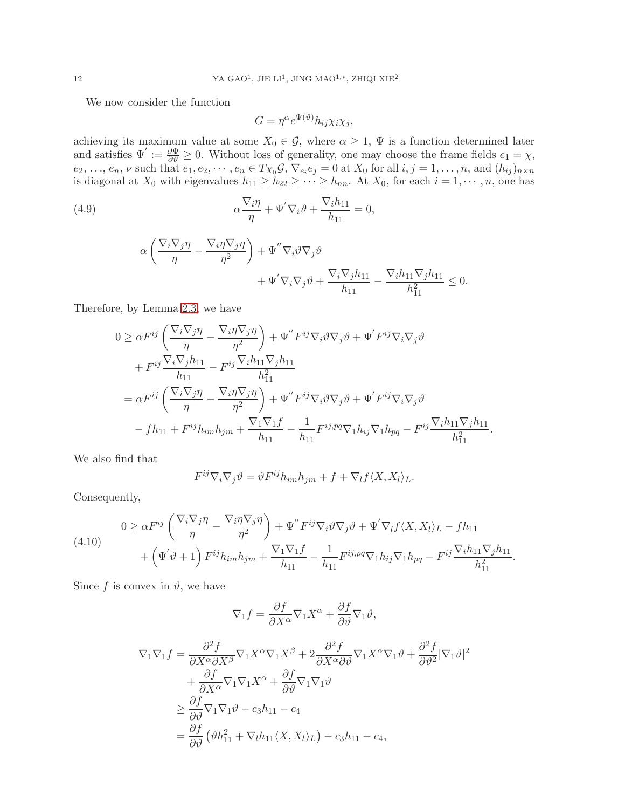We now consider the function

<span id="page-11-1"></span>
$$
G = \eta^{\alpha} e^{\Psi(\vartheta)} h_{ij} \chi_i \chi_j,
$$

achieving its maximum value at some  $X_0 \in \mathcal{G}$ , where  $\alpha \geq 1$ ,  $\Psi$  is a function determined later and satisfies  $\Psi' := \frac{\partial \Psi}{\partial \theta} \geq 0$ . Without loss of generality, one may choose the frame fields  $e_1 = \chi$ ,  $e_2, \ldots, e_n, \nu$  such that  $e_1, e_2, \cdots, e_n \in T_{X_0} \mathcal{G}, \nabla_{e_i} e_j = 0$  at  $X_0$  for all  $i, j = 1, \ldots, n$ , and  $(h_{ij})_{n \times n}$ is diagonal at  $X_0$  with eigenvalues  $h_{11} \geq h_{22} \geq \cdots \geq h_{nn}$ . At  $X_0$ , for each  $i = 1, \cdots, n$ , one has

(4.9) 
$$
\alpha \frac{\nabla_i \eta}{\eta} + \Psi' \nabla_i \vartheta + \frac{\nabla_i h_{11}}{h_{11}} = 0,
$$

$$
\alpha \left( \frac{\nabla_i \nabla_j \eta}{\eta} - \frac{\nabla_i \eta \nabla_j \eta}{\eta^2} \right) + \Psi'' \nabla_i \vartheta \nabla_j \vartheta + \Psi' \nabla_i \nabla_j \vartheta + \frac{\nabla_i \nabla_j h_{11}}{h_{11}} - \frac{\nabla_i h_{11} \nabla_j h_{11}}{h_{11}^2} \le 0.
$$

Therefore, by Lemma [2.3,](#page-6-2) we have

$$
0 \geq \alpha F^{ij} \left( \frac{\nabla_i \nabla_j \eta}{\eta} - \frac{\nabla_i \eta \nabla_j \eta}{\eta^2} \right) + \Psi'' F^{ij} \nabla_i \vartheta \nabla_j \vartheta + \Psi' F^{ij} \nabla_i \nabla_j \vartheta + F^{ij} \frac{\nabla_i \nabla_j h_{11}}{h_{11}} - F^{ij} \frac{\nabla_i h_{11} \nabla_j h_{11}}{h_{11}^2} = \alpha F^{ij} \left( \frac{\nabla_i \nabla_j \eta}{\eta} - \frac{\nabla_i \eta \nabla_j \eta}{\eta^2} \right) + \Psi'' F^{ij} \nabla_i \vartheta \nabla_j \vartheta + \Psi' F^{ij} \nabla_i \nabla_j \vartheta - f h_{11} + F^{ij} h_{im} h_{jm} + \frac{\nabla_1 \nabla_1 f}{h_{11}} - \frac{1}{h_{11}} F^{ij, pq} \nabla_1 h_{ij} \nabla_1 h_{pq} - F^{ij} \frac{\nabla_i h_{11} \nabla_j h_{11}}{h_{11}^2}.
$$

We also find that

$$
F^{ij}\nabla_i\nabla_j\vartheta = \vartheta F^{ij}h_{im}h_{jm} + f + \nabla_l f \langle X, X_l \rangle_L.
$$

Consequently,

<span id="page-11-0"></span>(4.10) 
$$
0 \geq \alpha F^{ij} \left( \frac{\nabla_i \nabla_j \eta}{\eta} - \frac{\nabla_i \eta \nabla_j \eta}{\eta^2} \right) + \Psi'' F^{ij} \nabla_i \vartheta \nabla_j \vartheta + \Psi' \nabla_l f \langle X, X_l \rangle_L - f h_{11} + \left( \Psi' \vartheta + 1 \right) F^{ij} h_{im} h_{jm} + \frac{\nabla_1 \nabla_1 f}{h_{11}} - \frac{1}{h_{11}} F^{ij, pq} \nabla_1 h_{ij} \nabla_1 h_{pq} - F^{ij} \frac{\nabla_i h_{11} \nabla_j h_{11}}{h_{11}^2}.
$$

Since f is convex in  $\vartheta$ , we have

$$
\nabla_1 f = \frac{\partial f}{\partial X^{\alpha}} \nabla_1 X^{\alpha} + \frac{\partial f}{\partial \vartheta} \nabla_1 \vartheta,
$$

$$
\nabla_1 \nabla_1 f = \frac{\partial^2 f}{\partial X^{\alpha} \partial X^{\beta}} \nabla_1 X^{\alpha} \nabla_1 X^{\beta} + 2 \frac{\partial^2 f}{\partial X^{\alpha} \partial \vartheta} \nabla_1 X^{\alpha} \nabla_1 \vartheta + \frac{\partial^2 f}{\partial \vartheta^2} |\nabla_1 \vartheta|^2
$$
  
+ 
$$
\frac{\partial f}{\partial X^{\alpha}} \nabla_1 \nabla_1 X^{\alpha} + \frac{\partial f}{\partial \vartheta} \nabla_1 \nabla_1 \vartheta
$$
  

$$
\geq \frac{\partial f}{\partial \vartheta} \nabla_1 \nabla_1 \vartheta - c_3 h_{11} - c_4
$$
  
= 
$$
\frac{\partial f}{\partial \vartheta} (\vartheta h_{11}^2 + \nabla_l h_{11} \langle X, X_l \rangle_L) - c_3 h_{11} - c_4,
$$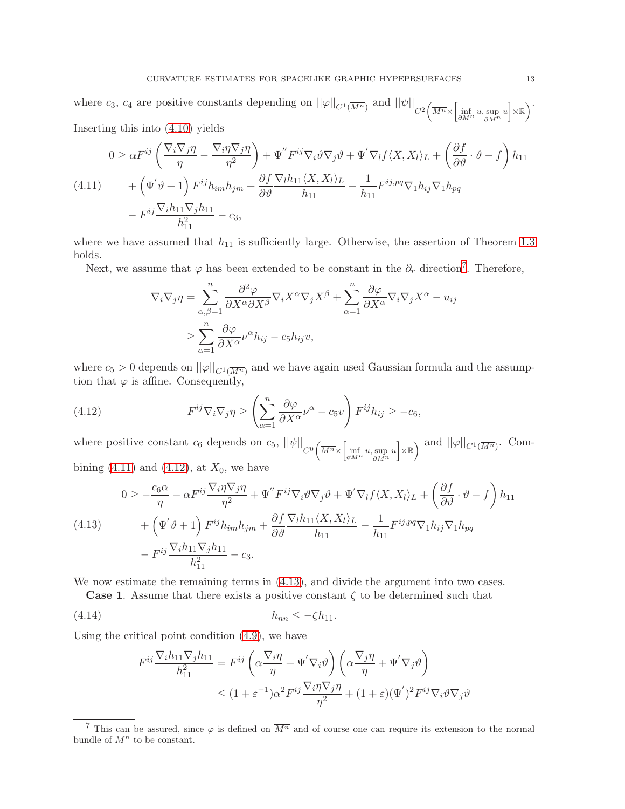where  $c_3$ ,  $c_4$  are positive constants depending on  $||\varphi||_{C^1(\overline{M^n})}$  and  $||\psi||_{C^2\left(\overline{M^n} \times \left[\begin{subarray}{c} \inf_{\partial M^n} u, \sup_{\partial M^n} u \end{subarray}\right] \times \mathbb{R}\right)}$  $\setminus$ . Inserting this into [\(4.10\)](#page-11-0) yields

<span id="page-12-1"></span>
$$
0 \geq \alpha F^{ij} \left( \frac{\nabla_i \nabla_j \eta}{\eta} - \frac{\nabla_i \eta \nabla_j \eta}{\eta^2} \right) + \Psi'' F^{ij} \nabla_i \vartheta \nabla_j \vartheta + \Psi' \nabla_l f \langle X, X_l \rangle_L + \left( \frac{\partial f}{\partial \vartheta} \cdot \vartheta - f \right) h_{11} + \left( \Psi' \vartheta + 1 \right) F^{ij} h_{im} h_{jm} + \frac{\partial f}{\partial \vartheta} \frac{\nabla_l h_{11} \langle X, X_l \rangle_L}{h_{11}} - \frac{1}{h_{11}} F^{ij, pq} \nabla_1 h_{ij} \nabla_1 h_{pq} - F^{ij} \frac{\nabla_l h_{11} \nabla_j h_{11}}{h_{11}^2} - c_3,
$$

where we have assumed that  $h_{11}$  is sufficiently large. Otherwise, the assertion of Theorem [1.3](#page-3-2) holds.

Next, we assume that  $\varphi$  has been extended to be constant in the  $\partial_r$  direction<sup>[7](#page-12-0)</sup>. Therefore,

$$
\nabla_i \nabla_j \eta = \sum_{\alpha, \beta=1}^n \frac{\partial^2 \varphi}{\partial X^{\alpha} \partial X^{\beta}} \nabla_i X^{\alpha} \nabla_j X^{\beta} + \sum_{\alpha=1}^n \frac{\partial \varphi}{\partial X^{\alpha}} \nabla_i \nabla_j X^{\alpha} - u_{ij}
$$
  

$$
\geq \sum_{\alpha=1}^n \frac{\partial \varphi}{\partial X^{\alpha}} \nu^{\alpha} h_{ij} - c_5 h_{ij} v,
$$

where  $c_5 > 0$  depends on  $||\varphi||_{C^1(\overline{M^n})}$  and we have again used Gaussian formula and the assumption that  $\varphi$  is affine. Consequently,

<span id="page-12-2"></span>(4.12) 
$$
F^{ij}\nabla_i\nabla_j\eta \geq \left(\sum_{\alpha=1}^n \frac{\partial\varphi}{\partial X^\alpha} \nu^\alpha - c_5 v\right) F^{ij}h_{ij} \geq -c_6,
$$

where positive constant  $c_6$  depends on  $c_5$ ,  $||\psi||_{C^0(\overline{M^n} \times \left[\inf_{\partial M^n} u, \sup_{\partial M^n} u\right] \times \mathbb{R})}$  and  $||\varphi||_{C^1(\overline{M^n})}$ . Combining  $(4.11)$  and  $(4.12)$ , at  $X_0$ , we have

<span id="page-12-3"></span>
$$
(4.13) \qquad 0 \ge -\frac{c_6 \alpha}{\eta} - \alpha F^{ij} \frac{\nabla_i \eta \nabla_j \eta}{\eta^2} + \Psi'' F^{ij} \nabla_i \vartheta \nabla_j \vartheta + \Psi' \nabla_l f \langle X, X_l \rangle_L + \left(\frac{\partial f}{\partial \vartheta} \cdot \vartheta - f\right) h_{11} + \left(\Psi' \vartheta + 1\right) F^{ij} h_{im} h_{jm} + \frac{\partial f}{\partial \vartheta} \frac{\nabla_l h_{11} \langle X, X_l \rangle_L}{h_{11}} - \frac{1}{h_{11}} F^{ij, pq} \nabla_1 h_{ij} \nabla_1 h_{pq} - F^{ij} \frac{\nabla_l h_{11} \nabla_j h_{11}}{h_{11}^2} - c_3.
$$

We now estimate the remaining terms in  $(4.13)$ , and divide the argument into two cases.

**Case 1.** Assume that there exists a positive constant  $\zeta$  to be determined such that

(4.14) hnn ≤ −ζh11.

Using the critical point condition [\(4.9\)](#page-11-1), we have

<span id="page-12-4"></span>
$$
F^{ij} \frac{\nabla_i h_{11} \nabla_j h_{11}}{h_{11}^2} = F^{ij} \left( \alpha \frac{\nabla_i \eta}{\eta} + \Psi' \nabla_i \vartheta \right) \left( \alpha \frac{\nabla_j \eta}{\eta} + \Psi' \nabla_j \vartheta \right)
$$
  

$$
\leq (1 + \varepsilon^{-1}) \alpha^2 F^{ij} \frac{\nabla_i \eta \nabla_j \eta}{\eta^2} + (1 + \varepsilon) (\Psi')^2 F^{ij} \nabla_i \vartheta \nabla_j \vartheta
$$

<span id="page-12-0"></span><sup>&</sup>lt;sup>7</sup> This can be assured, since  $\varphi$  is defined on  $\overline{M^n}$  and of course one can require its extension to the normal bundle of  $M^n$  to be constant.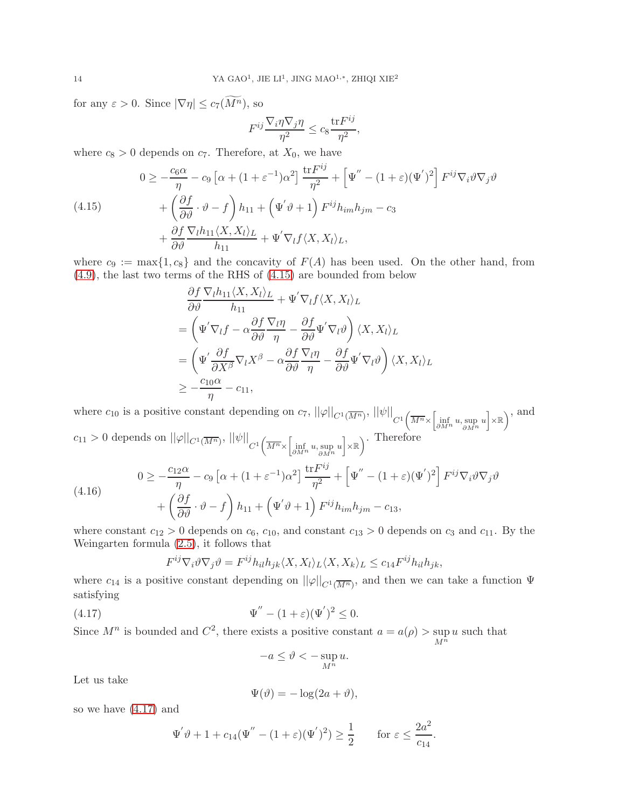for any  $\varepsilon > 0$ . Since  $|\nabla \eta| \leq c_7(\widetilde{M^n})$ , so

$$
F^{ij} \frac{\nabla_i \eta \nabla_j \eta}{\eta^2} \le c_8 \frac{\text{tr} F^{ij}}{\eta^2},
$$

where  $c_8 > 0$  depends on  $c_7$ . Therefore, at  $X_0$ , we have

<span id="page-13-0"></span>(4.15) 
$$
0 \ge -\frac{c_6 \alpha}{\eta} - c_9 \left[ \alpha + (1 + \varepsilon^{-1}) \alpha^2 \right] \frac{\text{tr} F^{ij}}{\eta^2} + \left[ \Psi'' - (1 + \varepsilon) (\Psi')^2 \right] F^{ij} \nabla_i \vartheta \nabla_j \vartheta + \left( \frac{\partial f}{\partial \vartheta} \cdot \vartheta - f \right) h_{11} + \left( \Psi' \vartheta + 1 \right) F^{ij} h_{im} h_{jm} - c_3 + \frac{\partial f}{\partial \vartheta} \frac{\nabla_l h_{11} \langle X, X_l \rangle_L}{h_{11}} + \Psi' \nabla_l f \langle X, X_l \rangle_L,
$$

where  $c_9 := \max\{1, c_8\}$  and the concavity of  $F(A)$  has been used. On the other hand, from [\(4.9\)](#page-11-1), the last two terms of the RHS of [\(4.15\)](#page-13-0) are bounded from below

$$
\frac{\partial f}{\partial \vartheta} \frac{\nabla_l h_{11} \langle X, X_l \rangle_L}{h_{11}} + \Psi' \nabla_l f \langle X, X_l \rangle_L
$$
\n
$$
= \left( \Psi' \nabla_l f - \alpha \frac{\partial f}{\partial \vartheta} \frac{\nabla_l \eta}{\eta} - \frac{\partial f}{\partial \vartheta} \Psi' \nabla_l \vartheta \right) \langle X, X_l \rangle_L
$$
\n
$$
= \left( \Psi' \frac{\partial f}{\partial X^\beta} \nabla_l X^\beta - \alpha \frac{\partial f}{\partial \vartheta} \frac{\nabla_l \eta}{\eta} - \frac{\partial f}{\partial \vartheta} \Psi' \nabla_l \vartheta \right) \langle X, X_l \rangle_L
$$
\n
$$
\geq -\frac{c_{10} \alpha}{\eta} - c_{11},
$$

where  $c_{10}$  is a positive constant depending on  $c_7$ ,  $||\varphi||_{C^1(\overline{M^n})}$ ,  $||\psi||_{C^1(\overline{M^n} \times \left[\inf_{\partial M^n} u, \sup_{\partial M^n} u\right] \times \mathbb{R})}$  $\chi$ , and  $c_{11} > 0$  depends on  $||\varphi||_{C^1(\overline{M^n})}$ ,  $||\psi||_{C^1(\overline{M^n} \times \left[\inf_{\partial M^n} u, \sup_{\partial M^n} u\right] \times \mathbb{R})})$  $\setminus$ . Therefore (4.16)  $0 \geq -\frac{c_{12}\alpha}{\cdots}$  $\frac{d^{2}\alpha}{\eta} - c_9 \left[ \alpha + (1 + \varepsilon^{-1}) \alpha^2 \right] \frac{\text{tr} F^{ij}}{\eta^2}$  $\frac{\partial F^{ij}}{\partial \tau^2} + \left[ \Psi^{''} - (1+\varepsilon)(\Psi^{'})^2 \right] F^{ij} \nabla_i \vartheta \nabla_j \vartheta^*$  $^{+}$  $\left(\frac{\partial f}{\partial \vartheta}\cdot \vartheta-f\right)$  $\overline{ }$  $h_{11} + (\Psi' \vartheta + 1) F^{ij} h_{im} h_{jm} - c_{13},$ 

where constant  $c_{12} > 0$  depends on  $c_6$ ,  $c_{10}$ , and constant  $c_{13} > 0$  depends on  $c_3$  and  $c_{11}$ . By the Weingarten formula [\(2.5\)](#page-5-5), it follows that

<span id="page-13-2"></span>
$$
F^{ij}\nabla_i\vartheta\nabla_j\vartheta = F^{ij}h_{il}h_{jk}\langle X, X_l\rangle_L\langle X, X_k\rangle_L \le c_{14}F^{ij}h_{il}h_{jk},
$$

where  $c_{14}$  is a positive constant depending on  $||\varphi||_{C^{1}(\overline{M^n})}$ , and then we can take a function  $\Psi$ satisfying

(4.17) 
$$
\Psi'' - (1 + \varepsilon)(\Psi')^2 \leq 0.
$$

Since  $M^n$  is bounded and  $C^2$ , there exists a positive constant  $a = a(\rho) > \sup$  $M^n$ u such that

<span id="page-13-1"></span>
$$
-a \le \vartheta < -\sup_{M^n} u.
$$

Let us take

$$
\Psi(\vartheta) = -\log(2a + \vartheta),
$$

so we have [\(4.17\)](#page-13-1) and

$$
\Psi' \vartheta + 1 + c_{14} (\Psi'' - (1 + \varepsilon)(\Psi')^2) \ge \frac{1}{2} \quad \text{for } \varepsilon \le \frac{2a^2}{c_{14}}.
$$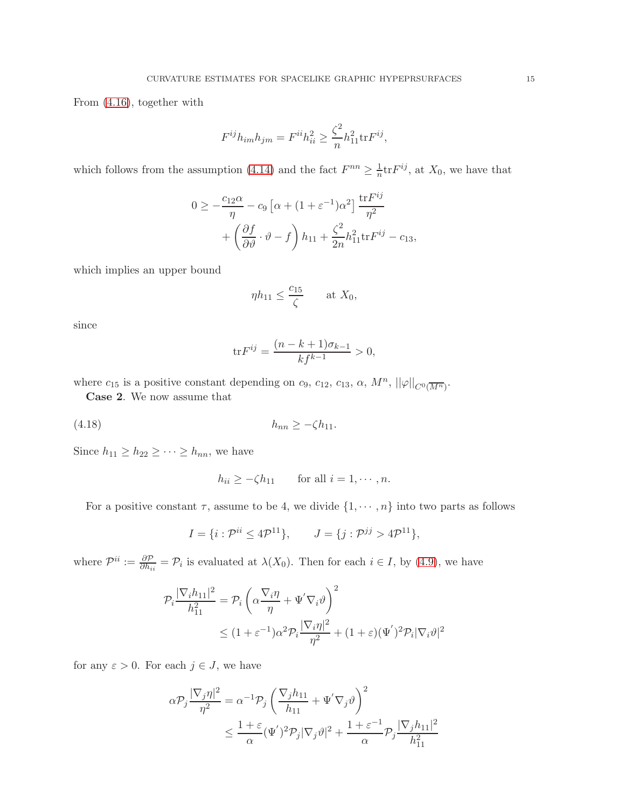From [\(4.16\)](#page-13-2), together with

$$
F^{ij}h_{im}h_{jm} = F^{ii}h_{ii}^2 \ge \frac{\zeta^2}{n}h_{11}^2 \text{tr} F^{ij},
$$

which follows from the assumption [\(4.14\)](#page-12-4) and the fact  $F^{nn} \geq \frac{1}{n}$ tr $F^{ij}$ , at  $X_0$ , we have that

$$
0 \ge -\frac{c_{12}\alpha}{\eta} - c_9 \left[ \alpha + (1 + \varepsilon^{-1})\alpha^2 \right] \frac{\text{tr} F^{ij}}{\eta^2} + \left( \frac{\partial f}{\partial \vartheta} \cdot \vartheta - f \right) h_{11} + \frac{\zeta^2}{2n} h_{11}^2 \text{tr} F^{ij} - c_{13},
$$

which implies an upper bound

$$
\eta h_{11} \le \frac{c_{15}}{\zeta} \qquad \text{at } X_0,
$$

since

$$
\text{tr}F^{ij} = \frac{(n-k+1)\sigma_{k-1}}{kf^{k-1}} > 0,
$$

where  $c_{15}$  is a positive constant depending on  $c_9$ ,  $c_{12}$ ,  $c_{13}$ ,  $\alpha$ ,  $M^n$ ,  $||\varphi||_{C^0(\overline{M^n})}$ .

Case 2. We now assume that

(4.18) hnn ≥ −ζh11.

Since  $h_{11} \geq h_{22} \geq \cdots \geq h_{nn}$ , we have

<span id="page-14-0"></span>
$$
h_{ii} \ge -\zeta h_{11} \qquad \text{for all } i = 1, \cdots, n.
$$

For a positive constant  $\tau$ , assume to be 4, we divide  $\{1, \dots, n\}$  into two parts as follows

$$
I = \{i : \mathcal{P}^{ii} \le 4\mathcal{P}^{11}\}, \qquad J = \{j : \mathcal{P}^{jj} > 4\mathcal{P}^{11}\},
$$

where  $\mathcal{P}^{ii} := \frac{\partial \mathcal{P}}{\partial h_{ii}} = \mathcal{P}_i$  is evaluated at  $\lambda(X_0)$ . Then for each  $i \in I$ , by [\(4.9\)](#page-11-1), we have

$$
\mathcal{P}_{i} \frac{|\nabla_{i} h_{11}|^{2}}{h_{11}^{2}} = \mathcal{P}_{i} \left( \alpha \frac{\nabla_{i} \eta}{\eta} + \Psi' \nabla_{i} \vartheta \right)^{2}
$$
  

$$
\leq (1 + \varepsilon^{-1}) \alpha^{2} \mathcal{P}_{i} \frac{|\nabla_{i} \eta|^{2}}{\eta^{2}} + (1 + \varepsilon) (\Psi')^{2} \mathcal{P}_{i} |\nabla_{i} \vartheta|^{2}
$$

for any  $\varepsilon > 0$ . For each  $j \in J$ , we have

$$
\alpha \mathcal{P}_j \frac{|\nabla_j \eta|^2}{\eta^2} = \alpha^{-1} \mathcal{P}_j \left( \frac{\nabla_j h_{11}}{h_{11}} + \Psi' \nabla_j \vartheta \right)^2
$$
  

$$
\leq \frac{1 + \varepsilon}{\alpha} (\Psi')^2 \mathcal{P}_j |\nabla_j \vartheta|^2 + \frac{1 + \varepsilon^{-1}}{\alpha} \mathcal{P}_j \frac{|\nabla_j h_{11}|^2}{h_{11}^2}
$$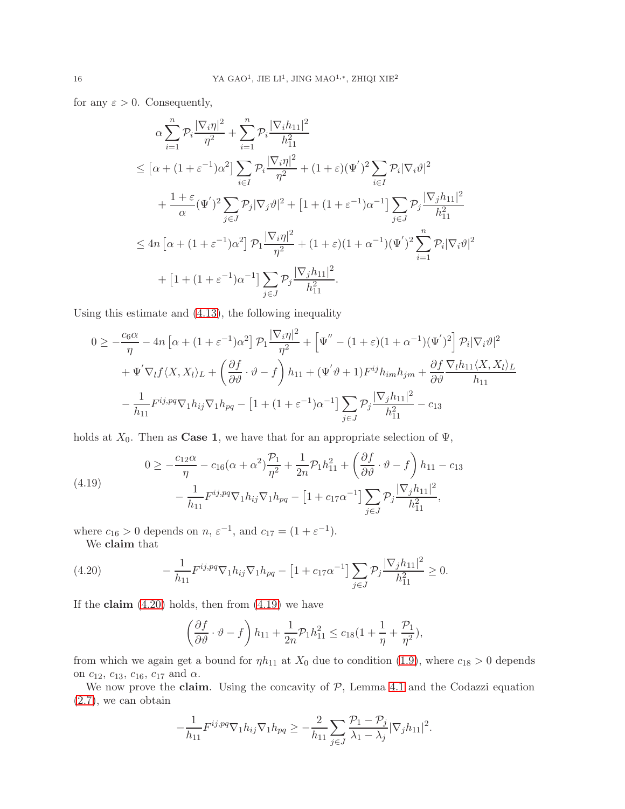for any  $\varepsilon > 0$ . Consequently,

$$
\alpha \sum_{i=1}^{n} \mathcal{P}_i \frac{|\nabla_i \eta|^2}{\eta^2} + \sum_{i=1}^{n} \mathcal{P}_i \frac{|\nabla_i h_{11}|^2}{h_{11}^2}
$$
\n
$$
\leq [\alpha + (1 + \varepsilon^{-1})\alpha^2] \sum_{i \in I} \mathcal{P}_i \frac{|\nabla_i \eta|^2}{\eta^2} + (1 + \varepsilon)(\Psi')^2 \sum_{i \in I} \mathcal{P}_i |\nabla_i \vartheta|^2
$$
\n
$$
+ \frac{1 + \varepsilon}{\alpha} (\Psi')^2 \sum_{j \in J} \mathcal{P}_j |\nabla_j \vartheta|^2 + [1 + (1 + \varepsilon^{-1})\alpha^{-1}] \sum_{j \in J} \mathcal{P}_j \frac{|\nabla_j h_{11}|^2}{h_{11}^2}
$$
\n
$$
\leq 4n [\alpha + (1 + \varepsilon^{-1})\alpha^2] \mathcal{P}_1 \frac{|\nabla_i \eta|^2}{\eta^2} + (1 + \varepsilon)(1 + \alpha^{-1})(\Psi')^2 \sum_{i=1}^{n} \mathcal{P}_i |\nabla_i \vartheta|^2
$$
\n
$$
+ [1 + (1 + \varepsilon^{-1})\alpha^{-1}] \sum_{j \in J} \mathcal{P}_j \frac{|\nabla_j h_{11}|^2}{h_{11}^2}.
$$

Using this estimate and [\(4.13\)](#page-12-3), the following inequality

$$
0 \ge -\frac{c_6 \alpha}{\eta} - 4n \left[ \alpha + (1 + \varepsilon^{-1}) \alpha^2 \right] \mathcal{P}_1 \frac{|\nabla_i \eta|^2}{\eta^2} + \left[ \Psi'' - (1 + \varepsilon)(1 + \alpha^{-1})(\Psi')^2 \right] \mathcal{P}_i |\nabla_i \vartheta|^2
$$
  
+  $\Psi' \nabla_l f \langle X, X_l \rangle_L + \left( \frac{\partial f}{\partial \vartheta} \cdot \vartheta - f \right) h_{11} + (\Psi' \vartheta + 1) F^{ij} h_{im} h_{jm} + \frac{\partial f}{\partial \vartheta} \frac{\nabla_l h_{11} \langle X, X_l \rangle_L}{h_{11}}$   
-  $\frac{1}{h_{11}} F^{ij, pq} \nabla_1 h_{ij} \nabla_1 h_{pq} - \left[ 1 + (1 + \varepsilon^{-1}) \alpha^{-1} \right] \sum_{j \in J} \mathcal{P}_j \frac{|\nabla_j h_{11}|^2}{h_{11}^2} - c_{13}$ 

holds at  $X_0$ . Then as **Case 1**, we have that for an appropriate selection of  $\Psi$ ,

<span id="page-15-1"></span>(4.19) 
$$
0 \ge -\frac{c_{12}\alpha}{\eta} - c_{16}(\alpha + \alpha^2)\frac{\mathcal{P}_1}{\eta^2} + \frac{1}{2n}\mathcal{P}_1h_{11}^2 + \left(\frac{\partial f}{\partial \vartheta} \cdot \vartheta - f\right)h_{11} - c_{13} - \frac{1}{h_{11}}F^{ij,pq}\nabla_1h_{ij}\nabla_1h_{pq} - \left[1 + c_{17}\alpha^{-1}\right]\sum_{j\in J}\mathcal{P}_j\frac{|\nabla_j h_{11}|^2}{h_{11}^2},
$$

where  $c_{16} > 0$  depends on  $n, \varepsilon^{-1}$ , and  $c_{17} = (1 + \varepsilon^{-1})$ . We claim that

(4.20) 
$$
-\frac{1}{h_{11}} F^{ij,pq} \nabla_1 h_{ij} \nabla_1 h_{pq} - \left[1 + c_{17} \alpha^{-1}\right] \sum_{j \in J} \mathcal{P}_j \frac{|\nabla_j h_{11}|^2}{h_{11}^2} \geq 0.
$$

If the claim  $(4.20)$  holds, then from  $(4.19)$  we have

<span id="page-15-0"></span>
$$
\left(\frac{\partial f}{\partial \vartheta} \cdot \vartheta - f\right) h_{11} + \frac{1}{2n} \mathcal{P}_1 h_{11}^2 \le c_{18} \left(1 + \frac{1}{\eta} + \frac{\mathcal{P}_1}{\eta^2}\right),\,
$$

from which we again get a bound for  $\eta h_{11}$  at  $X_0$  due to condition [\(1.9\)](#page-3-4), where  $c_{18} > 0$  depends on  $c_{12}$ ,  $c_{13}$ ,  $c_{16}$ ,  $c_{17}$  and  $\alpha$ .

We now prove the claim. Using the concavity of  $P$ , Lemma [4.1](#page-10-4) and the Codazzi equation [\(2.7\)](#page-5-4), we can obtain

$$
-\frac{1}{h_{11}}F^{ij,pq}\nabla_1h_{ij}\nabla_1h_{pq}\geq -\frac{2}{h_{11}}\sum_{j\in J}\frac{\mathcal{P}_1-\mathcal{P}_j}{\lambda_1-\lambda_j}|\nabla_jh_{11}|^2.
$$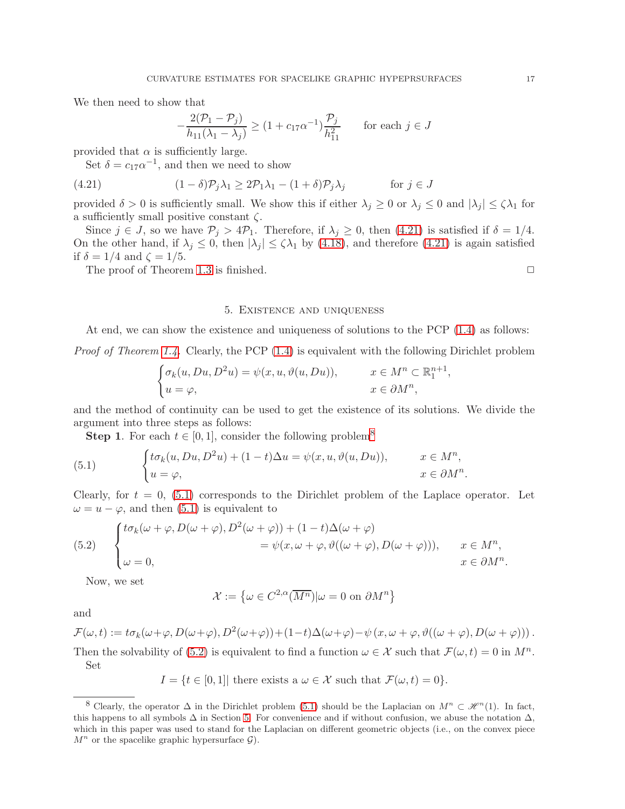We then need to show that

<span id="page-16-1"></span>
$$
-\frac{2(\mathcal{P}_1 - \mathcal{P}_j)}{h_{11}(\lambda_1 - \lambda_j)} \ge (1 + c_{17}\alpha^{-1})\frac{\mathcal{P}_j}{h_{11}^2} \quad \text{for each } j \in J
$$

provided that  $\alpha$  is sufficiently large.

Set  $\delta = c_{17} \alpha^{-1}$ , and then we need to show

(4.21) 
$$
(1 - \delta)\mathcal{P}_j \lambda_1 \geq 2\mathcal{P}_1 \lambda_1 - (1 + \delta)\mathcal{P}_j \lambda_j \quad \text{for } j \in J
$$

provided  $\delta > 0$  is sufficiently small. We show this if either  $\lambda_j \geq 0$  or  $\lambda_j \leq 0$  and  $|\lambda_j| \leq \zeta \lambda_1$  for a sufficiently small positive constant  $\zeta$ .

Since  $j \in J$ , so we have  $\mathcal{P}_j > 4\mathcal{P}_1$ . Therefore, if  $\lambda_j \geq 0$ , then [\(4.21\)](#page-16-1) is satisfied if  $\delta = 1/4$ . On the other hand, if  $\lambda_j \leq 0$ , then  $|\lambda_j| \leq \zeta \lambda_1$  by [\(4.18\)](#page-14-0), and therefore [\(4.21\)](#page-16-1) is again satisfied if  $\delta = 1/4$  and  $\zeta = 1/5$ .

<span id="page-16-0"></span>The proof of Theorem [1.3](#page-3-2) is finished.  $\Box$ 

### 5. Existence and uniqueness

At end, we can show the existence and uniqueness of solutions to the PCP [\(1.4\)](#page-2-1) as follows:

*Proof of Theorem [1.4.](#page-4-1)* Clearly, the PCP  $(1.4)$  is equivalent with the following Dirichlet problem

$$
\begin{cases}\n\sigma_k(u, Du, D^2u) = \psi(x, u, \vartheta(u, Du)), & x \in M^n \subset \mathbb{R}^{n+1}_1, \\
u = \varphi, & x \in \partial M^n,\n\end{cases}
$$

and the method of continuity can be used to get the existence of its solutions. We divide the argument into three steps as follows:

<span id="page-16-3"></span>**Step 1.** For each  $t \in [0,1]$ , consider the following problem<sup>[8](#page-16-2)</sup>

(5.1) 
$$
\begin{cases} t\sigma_k(u, Du, D^2u) + (1-t)\Delta u = \psi(x, u, \vartheta(u, Du)), & x \in M^n, \\ u = \varphi, & x \in \partial M^n. \end{cases}
$$

Clearly, for  $t = 0$ , [\(5.1\)](#page-16-3) corresponds to the Dirichlet problem of the Laplace operator. Let  $\omega = u - \varphi$ , and then [\(5.1\)](#page-16-3) is equivalent to

<span id="page-16-4"></span>(5.2) 
$$
\begin{cases} t\sigma_k(\omega+\varphi,D(\omega+\varphi),D^2(\omega+\varphi)) + (1-t)\Delta(\omega+\varphi) \\ \omega=0, \end{cases} \qquad = \psi(x,\omega+\varphi,\vartheta((\omega+\varphi),D(\omega+\varphi))), \qquad x \in M^n, \quad x \in \partial M^n.
$$

Now, we set

$$
\mathcal{X} := \left\{ \omega \in C^{2,\alpha}(\overline{M^n}) | \omega = 0 \text{ on } \partial M^n \right\}
$$

and

 $\mathcal{F}(\omega,t) := t\sigma_k(\omega+\varphi,D(\omega+\varphi),D^2(\omega+\varphi)) + (1-t)\Delta(\omega+\varphi) - \psi(x,\omega+\varphi,\vartheta((\omega+\varphi),D(\omega+\varphi)))$ . Then the solvability of [\(5.2\)](#page-16-4) is equivalent to find a function  $\omega \in \mathcal{X}$  such that  $\mathcal{F}(\omega, t) = 0$  in  $M^n$ .

Set

$$
I = \{ t \in [0,1] \mid \text{there exists a } \omega \in \mathcal{X} \text{ such that } \mathcal{F}(\omega, t) = 0 \}.
$$

<span id="page-16-2"></span><sup>&</sup>lt;sup>8</sup> Clearly, the operator  $\Delta$  in the Dirichlet problem [\(5.1\)](#page-16-3) should be the Laplacian on  $M^n \subset \mathcal{H}^n(1)$ . In fact, this happens to all symbols  $\Delta$  in Section [5.](#page-16-0) For convenience and if without confusion, we abuse the notation  $\Delta$ , which in this paper was used to stand for the Laplacian on different geometric objects (i.e., on the convex piece  $M^n$  or the spacelike graphic hypersurface  $\mathcal{G}$ ).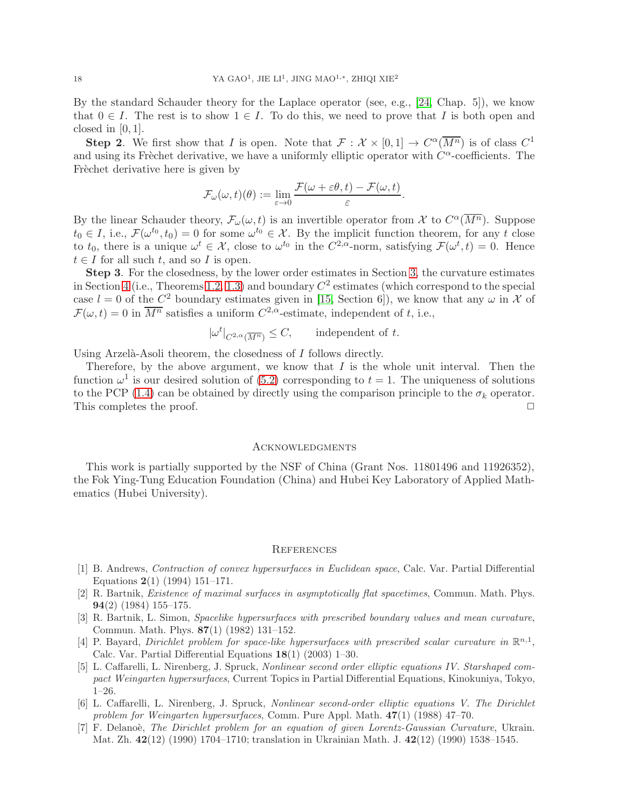By the standard Schauder theory for the Laplace operator (see, e.g., [\[24,](#page-18-16) Chap. 5]), we know that  $0 \in I$ . The rest is to show  $1 \in I$ . To do this, we need to prove that I is both open and closed in  $[0, 1]$ .

**Step 2**. We first show that I is open. Note that  $\mathcal{F}: \mathcal{X} \times [0,1] \to C^{\alpha}(\overline{M^n})$  is of class  $C^1$ and using its Frèchet derivative, we have a uniformly elliptic operator with  $C^{\alpha}$ -coefficients. The Frèchet derivative here is given by

$$
\mathcal{F}_{\omega}(\omega, t)(\theta) := \lim_{\varepsilon \to 0} \frac{\mathcal{F}(\omega + \varepsilon \theta, t) - \mathcal{F}(\omega, t)}{\varepsilon}.
$$

By the linear Schauder theory,  $\mathcal{F}_{\omega}(\omega, t)$  is an invertible operator from X to  $C^{\alpha}(\overline{M^n})$ . Suppose  $t_0 \in I$ , i.e.,  $\mathcal{F}(\omega^{t_0}, t_0) = 0$  for some  $\omega^{t_0} \in \mathcal{X}$ . By the implicit function theorem, for any t close to  $t_0$ , there is a unique  $\omega^t \in \mathcal{X}$ , close to  $\omega^{t_0}$  in the  $C^{2,\alpha}$ -norm, satisfying  $\mathcal{F}(\omega^t, t) = 0$ . Hence  $t \in I$  for all such t, and so I is open.

Step 3. For the closedness, by the lower order estimates in Section [3,](#page-7-0) the curvature estimates in Section [4](#page-9-0) (i.e., Theorems [1.2,](#page-3-0) [1.3\)](#page-3-2) and boundary  $C<sup>2</sup>$  estimates (which correspond to the special case  $l = 0$  of the  $C^2$  boundary estimates given in [\[15,](#page-18-15) Section 6]), we know that any  $\omega$  in X of  $\mathcal{F}(\omega, t) = 0$  in  $\overline{M^n}$  satisfies a uniform  $C^{2,\alpha}$ -estimate, independent of t, i.e.,

$$
|\omega^t|_{C^{2,\alpha}(\overline{M^n})} \leq C
$$
, independent of t.

Using Arzelà-Asoli theorem, the closedness of  $I$  follows directly.

Therefore, by the above argument, we know that  $I$  is the whole unit interval. Then the function  $\omega^1$  is our desired solution of [\(5.2\)](#page-16-4) corresponding to  $t = 1$ . The uniqueness of solutions to the PCP [\(1.4\)](#page-2-1) can be obtained by directly using the comparison principle to the  $\sigma_k$  operator. This completes the proof.  $\Box$ 

#### **ACKNOWLEDGMENTS**

This work is partially supported by the NSF of China (Grant Nos. 11801496 and 11926352), the Fok Ying-Tung Education Foundation (China) and Hubei Key Laboratory of Applied Mathematics (Hubei University).

#### **REFERENCES**

- <span id="page-17-6"></span>[1] B. Andrews, Contraction of convex hypersurfaces in Euclidean space, Calc. Var. Partial Differential Equations 2(1) (1994) 151–171.
- <span id="page-17-2"></span>[2] R. Bartnik, Existence of maximal surfaces in asymptotically flat spacetimes, Commun. Math. Phys. 94(2) (1984) 155–175.
- <span id="page-17-3"></span>[3] R. Bartnik, L. Simon, Spacelike hypersurfaces with prescribed boundary values and mean curvature, Commun. Math. Phys. 87(1) (1982) 131–152.
- <span id="page-17-5"></span>[4] P. Bayard, Dirichlet problem for space-like hypersurfaces with prescribed scalar curvature in  $\mathbb{R}^{n,1}$ , Calc. Var. Partial Differential Equations 18(1) (2003) 1–30.
- <span id="page-17-0"></span>[5] L. Caffarelli, L. Nirenberg, J. Spruck, Nonlinear second order elliptic equations IV. Starshaped compact Weingarten hypersurfaces, Current Topics in Partial Differential Equations, Kinokuniya, Tokyo, 1–26.
- <span id="page-17-1"></span>[6] L. Caffarelli, L. Nirenberg, J. Spruck, Nonlinear second-order elliptic equations V. The Dirichlet problem for Weingarten hypersurfaces, Comm. Pure Appl. Math.  $47(1)$  (1988) 47–70.
- <span id="page-17-4"></span>[7] F. Delanoè, The Dirichlet problem for an equation of given Lorentz-Gaussian Curvature, Ukrain. Mat. Zh. 42(12) (1990) 1704–1710; translation in Ukrainian Math. J. 42(12) (1990) 1538–1545.